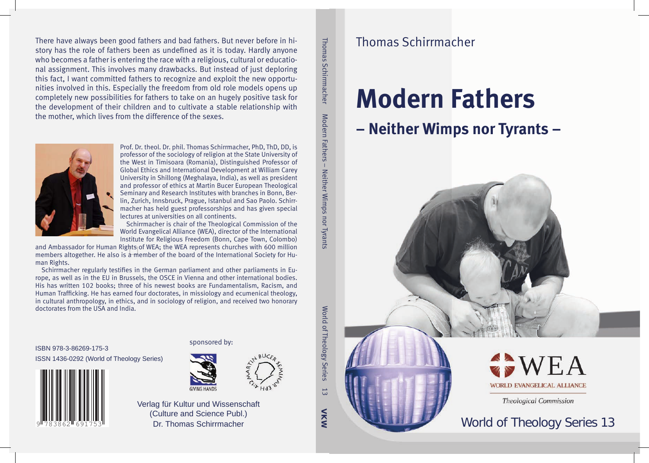There have always been good fathers and bad fathers. But never before in history has the role of fathers been as undefined as it is today. Hardly anyone who becomes a father is entering the race with a religious, cultural or educational assignment. This involves many drawbacks. But instead of just deploring this fact, I want committed fathers to recognize and exploit the new opportunities involved in this. Especially the freedom from old role models opens up completely new possibilities for fathers to take on an hugely positive task for the development of their children and to cultivate a stable relationship with the mother, which lives from the difference of the sexes.



Prof. Dr. theol. Dr. phil. Thomas Schirrmacher, PhD, ThD, DD, is professor of the sociology of religion at the State University of the West in Timisoara (Romania), Distinguished Professor of Global Ethics and International Development at William Carey University in Shillong (Meghalaya, India), as well as president and professor of ethics at Martin Bucer European Theological Seminary and Research Institutes with branches in Bonn, Berlin, Zurich, Innsbruck, Prague, Istanbul and Sao Paolo. Schirrmacher has held guest professorships and has given special lectures at universities on all continents.

Schirrmacher is chair of the Theological Commission of the World Evangelical Alliance (WEA), director of the International Institute for Religious Freedom (Bonn, Cape Town, Colombo)

and Ambassador for Human Rights of WEA; the WEA represents churches with 600 million members altogether. He also is a member of the board of the International Society for Human Rights.

Schirrmacher regularly testifies in the German parliament and other parliaments in Europe, as well as in the EU in Brussels, the OSCE in Vienna and other international bodies. His has written 102 books; three of his newest books are Fundamentalism, Racism, and Human Trafficking. He has earned four doctorates, in missiology and ecumenical theology, in cultural anthropology, in ethics, and in sociology of religion, and received two honorary doctorates from the USA and India.

ISBN 978-3-86269-175-3 ISSN 1436-0292 (World of Theology Series)  $S$ 



## sponsored by:



Verlag für Kultur und Wissenschaft (Culture and Science Publ.) Dr. Thomas Schirrmacher

Thomas Schirrmacher Modern Fathers – Neither Wimps nor Tyrants

 $\pm$ 

Neither Wimps nor Tyrants

Modern Fathers

Thomas Schirrmacher

VKW

 $\vec{\omega}$ 

World of Theology Series 13

World of Theology Series

# **Modern Fathers – Neither Wimps nor Tyrants –**







**Theological Commission** 

# World of Theology Series 13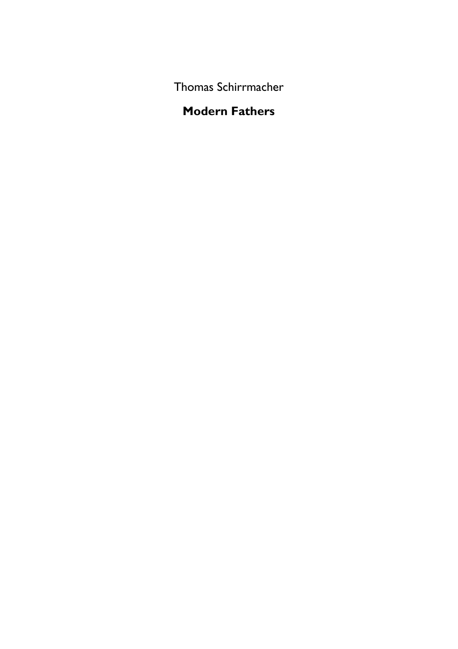Thomas Schirrmacher

# **Modern Fathers**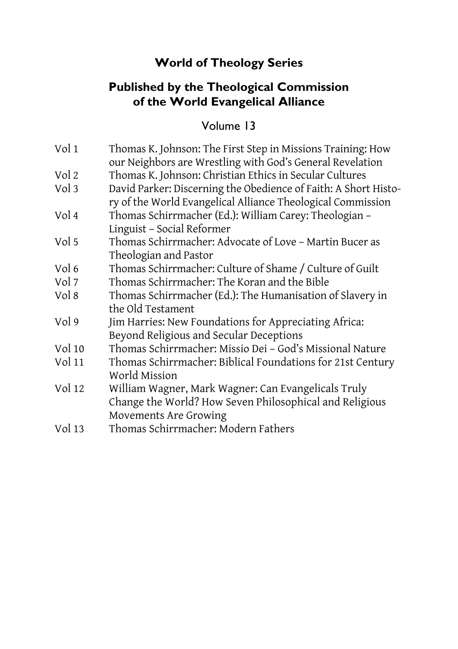# **World of Theology Series**

# **Published by the Theological Commission of the World Evangelical Alliance**

# Volume 13

| Vol 1  | Thomas K. Johnson: The First Step in Missions Training: How<br>our Neighbors are Wrestling with God's General Revelation       |
|--------|--------------------------------------------------------------------------------------------------------------------------------|
| Vol 2  | Thomas K. Johnson: Christian Ethics in Secular Cultures                                                                        |
| Vol 3  | David Parker: Discerning the Obedience of Faith: A Short Histo-<br>ry of the World Evangelical Alliance Theological Commission |
| Vol 4  | Thomas Schirrmacher (Ed.): William Carey: Theologian -<br>Linguist - Social Reformer                                           |
| Vol 5  | Thomas Schirrmacher: Advocate of Love - Martin Bucer as<br>Theologian and Pastor                                               |
| Vol 6  | Thomas Schirrmacher: Culture of Shame / Culture of Guilt                                                                       |
| Vol 7  | Thomas Schirrmacher: The Koran and the Bible                                                                                   |
| Vol 8  | Thomas Schirrmacher (Ed.): The Humanisation of Slavery in<br>the Old Testament                                                 |
| Vol 9  | Jim Harries: New Foundations for Appreciating Africa:<br>Beyond Religious and Secular Deceptions                               |
| Vol 10 | Thomas Schirrmacher: Missio Dei - God's Missional Nature                                                                       |
| Vol 11 | Thomas Schirrmacher: Biblical Foundations for 21st Century<br>World Mission                                                    |
| Vol 12 | William Wagner, Mark Wagner: Can Evangelicals Truly<br>Change the World? How Seven Philosophical and Religious                 |
|        | Movements Are Growing                                                                                                          |
| Vol 13 | Thomas Schirrmacher: Modern Fathers                                                                                            |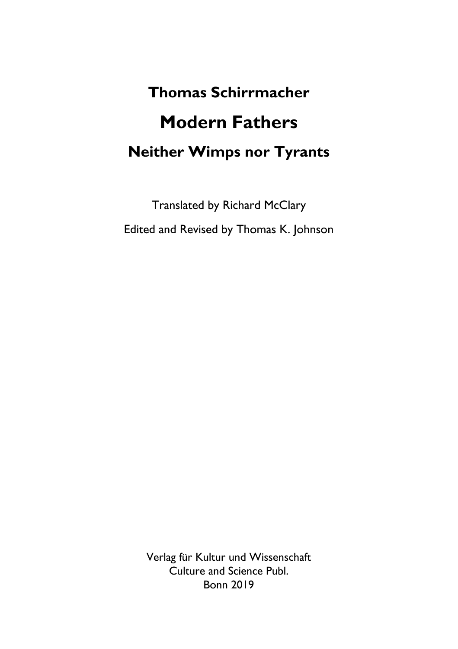# **Thomas Schirrmacher Modern Fathers Neither Wimps nor Tyrants**

Translated by Richard McClary Edited and Revised by Thomas K. Johnson

> Verlag für Kultur und Wissenschaft Culture and Science Publ. Bonn 2019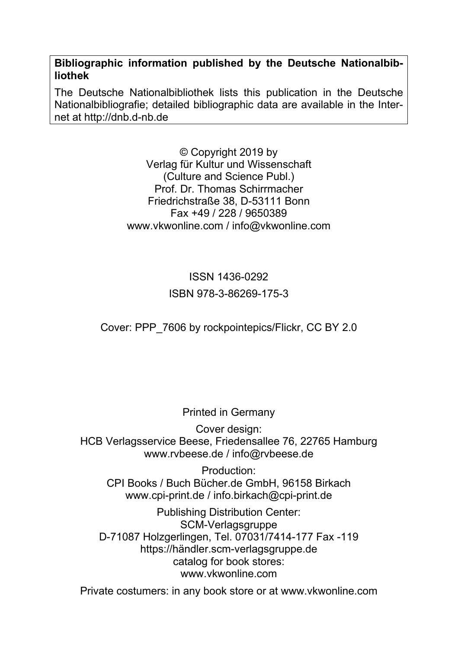**Bibliographic information published by the Deutsche Nationalbibliothek** 

The Deutsche Nationalbibliothek lists this publication in the Deutsche Nationalbibliografie; detailed bibliographic data are available in the Internet at http://dnb.d-nb.de

> © Copyright 2019 by Verlag für Kultur und Wissenschaft (Culture and Science Publ.) Prof. Dr. Thomas Schirrmacher Friedrichstraße 38, D-53111 Bonn Fax +49 / 228 / 9650389 www.vkwonline.com / info@vkwonline.com

# ISSN 1436-0292 ISBN 978-3-86269-175-3

Cover: PPP\_7606 by rockpointepics/Flickr, CC BY 2.0

Printed in Germany

Cover design: HCB Verlagsservice Beese, Friedensallee 76, 22765 Hamburg www.rvbeese.de / info@rvbeese.de

Production: CPI Books / Buch Bücher.de GmbH, 96158 Birkach www.cpi-print.de / info.birkach@cpi-print.de

Publishing Distribution Center: SCM-Verlagsgruppe D-71087 Holzgerlingen, Tel. 07031/7414-177 Fax -119 https://händler.scm-verlagsgruppe.de catalog for book stores: www.vkwonline.com

Private costumers: in any book store or at www.vkwonline.com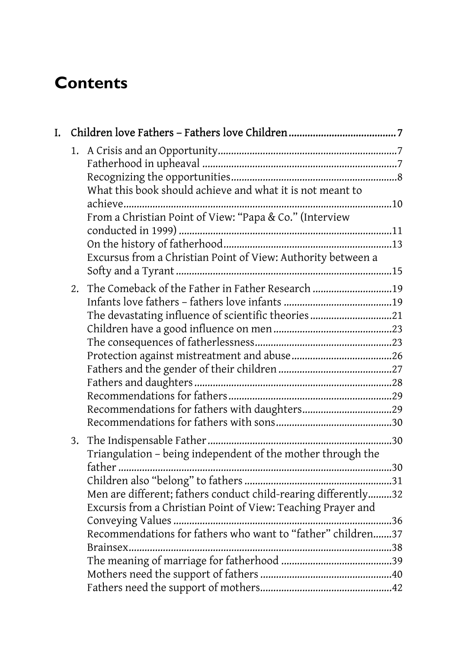# **Contents**

| L. |    |                                                                       |  |
|----|----|-----------------------------------------------------------------------|--|
|    |    |                                                                       |  |
|    |    | What this book should achieve and what it is not meant to             |  |
|    |    |                                                                       |  |
|    |    | From a Christian Point of View: "Papa & Co." (Interview               |  |
|    |    |                                                                       |  |
|    |    |                                                                       |  |
|    |    | Excursus from a Christian Point of View: Authority between a          |  |
|    |    |                                                                       |  |
|    | 2. | The Comeback of the Father in Father Research 19                      |  |
|    |    |                                                                       |  |
|    |    | The devastating influence of scientific theories21                    |  |
|    |    |                                                                       |  |
|    |    |                                                                       |  |
|    |    |                                                                       |  |
|    |    |                                                                       |  |
|    |    |                                                                       |  |
|    |    |                                                                       |  |
|    |    |                                                                       |  |
|    |    |                                                                       |  |
|    |    |                                                                       |  |
|    |    | Triangulation - being independent of the mother through the<br>father |  |
|    |    |                                                                       |  |
|    |    | Men are different; fathers conduct child-rearing differently32        |  |
|    |    | Excursis from a Christian Point of View: Teaching Prayer and          |  |
|    |    |                                                                       |  |
|    |    | Recommendations for fathers who want to "father" children37           |  |
|    |    |                                                                       |  |
|    |    |                                                                       |  |
|    |    |                                                                       |  |
|    |    |                                                                       |  |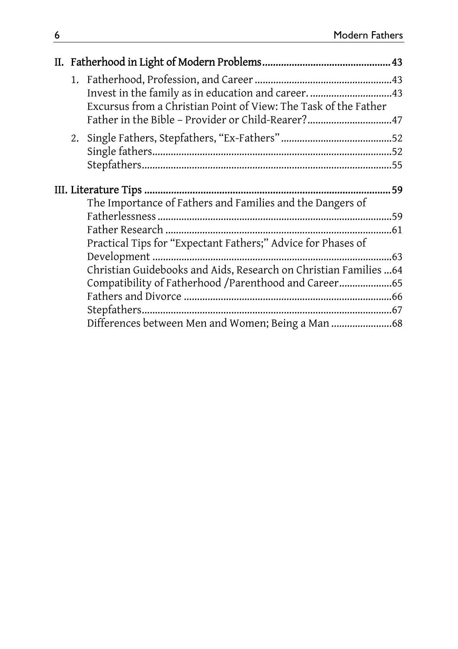|  |  | Invest in the family as in education and career. 43<br>Excursus from a Christian Point of View: The Task of the Father |  |  |
|--|--|------------------------------------------------------------------------------------------------------------------------|--|--|
|  |  | Father in the Bible - Provider or Child-Rearer?47                                                                      |  |  |
|  |  |                                                                                                                        |  |  |
|  |  |                                                                                                                        |  |  |
|  |  |                                                                                                                        |  |  |
|  |  |                                                                                                                        |  |  |
|  |  | The Importance of Fathers and Families and the Dangers of                                                              |  |  |
|  |  |                                                                                                                        |  |  |
|  |  |                                                                                                                        |  |  |
|  |  | Practical Tips for "Expectant Fathers;" Advice for Phases of                                                           |  |  |
|  |  |                                                                                                                        |  |  |
|  |  | Christian Guidebooks and Aids, Research on Christian Families  64                                                      |  |  |
|  |  | Compatibility of Fatherhood /Parenthood and Career                                                                     |  |  |
|  |  |                                                                                                                        |  |  |
|  |  |                                                                                                                        |  |  |
|  |  | Differences between Men and Women; Being a Man 68                                                                      |  |  |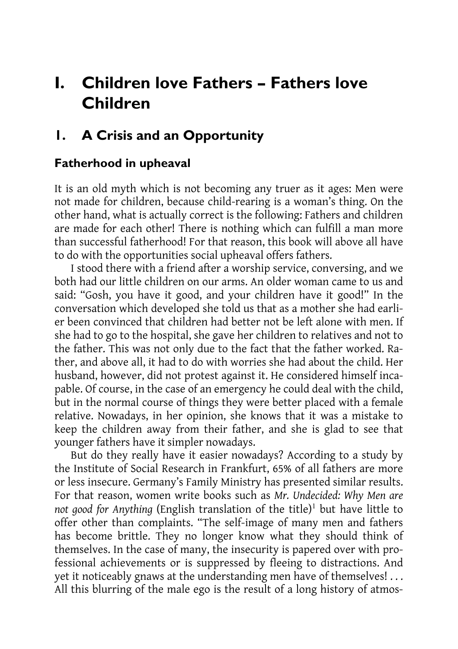# **I. Children love Fathers – Fathers love Children**

# **1. A Crisis and an Opportunity**

## **Fatherhood in upheaval**

It is an old myth which is not becoming any truer as it ages: Men were not made for children, because child-rearing is a woman's thing. On the other hand, what is actually correct is the following: Fathers and children are made for each other! There is nothing which can fulfill a man more than successful fatherhood! For that reason, this book will above all have to do with the opportunities social upheaval offers fathers.

I stood there with a friend after a worship service, conversing, and we both had our little children on our arms. An older woman came to us and said: "Gosh, you have it good, and your children have it good!" In the conversation which developed she told us that as a mother she had earlier been convinced that children had better not be left alone with men. If she had to go to the hospital, she gave her children to relatives and not to the father. This was not only due to the fact that the father worked. Rather, and above all, it had to do with worries she had about the child. Her husband, however, did not protest against it. He considered himself incapable. Of course, in the case of an emergency he could deal with the child, but in the normal course of things they were better placed with a female relative. Nowadays, in her opinion, she knows that it was a mistake to keep the children away from their father, and she is glad to see that younger fathers have it simpler nowadays.

But do they really have it easier nowadays? According to a study by the Institute of Social Research in Frankfurt, 65% of all fathers are more or less insecure. Germany's Family Ministry has presented similar results. For that reason, women write books such as *Mr. Undecided: Why Men are not good for Anything* (English translation of the title)<sup>1</sup> but have little to offer other than complaints. "The self-image of many men and fathers has become brittle. They no longer know what they should think of themselves. In the case of many, the insecurity is papered over with professional achievements or is suppressed by fleeing to distractions. And yet it noticeably gnaws at the understanding men have of themselves! . . . All this blurring of the male ego is the result of a long history of atmos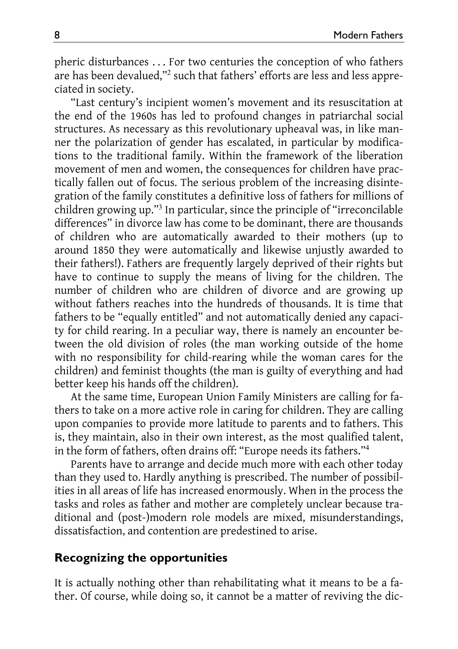pheric disturbances . . . For two centuries the conception of who fathers are has been devalued,"<sup>2</sup> such that fathers' efforts are less and less appreciated in society.

"Last century's incipient women's movement and its resuscitation at the end of the 1960s has led to profound changes in patriarchal social structures. As necessary as this revolutionary upheaval was, in like manner the polarization of gender has escalated, in particular by modifications to the traditional family. Within the framework of the liberation movement of men and women, the consequences for children have practically fallen out of focus. The serious problem of the increasing disintegration of the family constitutes a definitive loss of fathers for millions of children growing up."<sup>3</sup> In particular, since the principle of "irreconcilable differences" in divorce law has come to be dominant, there are thousands of children who are automatically awarded to their mothers (up to around 1850 they were automatically and likewise unjustly awarded to their fathers!). Fathers are frequently largely deprived of their rights but have to continue to supply the means of living for the children. The number of children who are children of divorce and are growing up without fathers reaches into the hundreds of thousands. It is time that fathers to be "equally entitled" and not automatically denied any capacity for child rearing. In a peculiar way, there is namely an encounter between the old division of roles (the man working outside of the home with no responsibility for child-rearing while the woman cares for the children) and feminist thoughts (the man is guilty of everything and had better keep his hands off the children).

At the same time, European Union Family Ministers are calling for fathers to take on a more active role in caring for children. They are calling upon companies to provide more latitude to parents and to fathers. This is, they maintain, also in their own interest, as the most qualified talent, in the form of fathers, often drains off: "Europe needs its fathers."<sup>4</sup>

Parents have to arrange and decide much more with each other today than they used to. Hardly anything is prescribed. The number of possibilities in all areas of life has increased enormously. When in the process the tasks and roles as father and mother are completely unclear because traditional and (post-)modern role models are mixed, misunderstandings, dissatisfaction, and contention are predestined to arise.

#### **Recognizing the opportunities**

It is actually nothing other than rehabilitating what it means to be a father. Of course, while doing so, it cannot be a matter of reviving the dic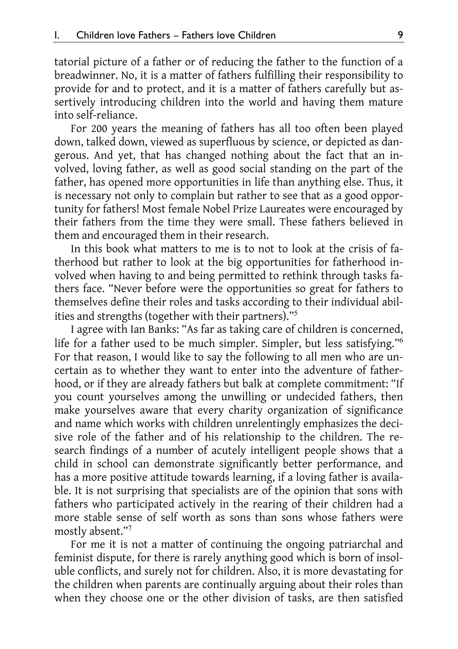tatorial picture of a father or of reducing the father to the function of a breadwinner. No, it is a matter of fathers fulfilling their responsibility to provide for and to protect, and it is a matter of fathers carefully but assertively introducing children into the world and having them mature into self-reliance.

For 200 years the meaning of fathers has all too often been played down, talked down, viewed as superfluous by science, or depicted as dangerous. And yet, that has changed nothing about the fact that an involved, loving father, as well as good social standing on the part of the father, has opened more opportunities in life than anything else. Thus, it is necessary not only to complain but rather to see that as a good opportunity for fathers! Most female Nobel Prize Laureates were encouraged by their fathers from the time they were small. These fathers believed in them and encouraged them in their research.

In this book what matters to me is to not to look at the crisis of fatherhood but rather to look at the big opportunities for fatherhood involved when having to and being permitted to rethink through tasks fathers face. "Never before were the opportunities so great for fathers to themselves define their roles and tasks according to their individual abilities and strengths (together with their partners)."<sup>5</sup>

I agree with Ian Banks: "As far as taking care of children is concerned, life for a father used to be much simpler. Simpler, but less satisfying."<sup>6</sup> For that reason, I would like to say the following to all men who are uncertain as to whether they want to enter into the adventure of fatherhood, or if they are already fathers but balk at complete commitment: "If you count yourselves among the unwilling or undecided fathers, then make yourselves aware that every charity organization of significance and name which works with children unrelentingly emphasizes the decisive role of the father and of his relationship to the children. The research findings of a number of acutely intelligent people shows that a child in school can demonstrate significantly better performance, and has a more positive attitude towards learning, if a loving father is available. It is not surprising that specialists are of the opinion that sons with fathers who participated actively in the rearing of their children had a more stable sense of self worth as sons than sons whose fathers were mostly absent."<sup>7</sup>

For me it is not a matter of continuing the ongoing patriarchal and feminist dispute, for there is rarely anything good which is born of insoluble conflicts, and surely not for children. Also, it is more devastating for the children when parents are continually arguing about their roles than when they choose one or the other division of tasks, are then satisfied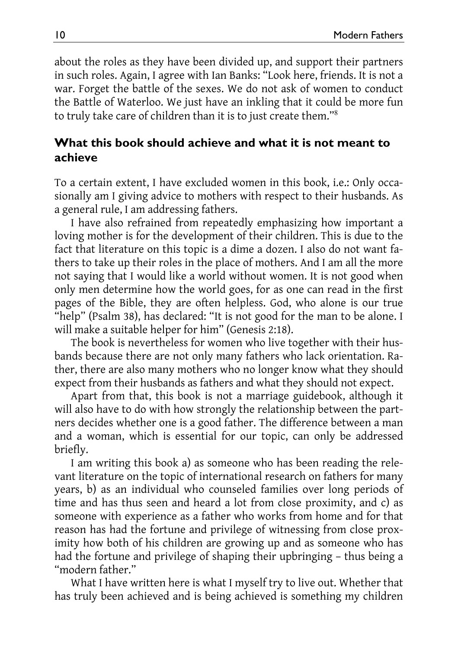about the roles as they have been divided up, and support their partners in such roles. Again, I agree with Ian Banks: "Look here, friends. It is not a war. Forget the battle of the sexes. We do not ask of women to conduct the Battle of Waterloo. We just have an inkling that it could be more fun to truly take care of children than it is to just create them."<sup>8</sup>

#### **What this book should achieve and what it is not meant to achieve**

To a certain extent, I have excluded women in this book, i.e.: Only occasionally am I giving advice to mothers with respect to their husbands. As a general rule, I am addressing fathers.

I have also refrained from repeatedly emphasizing how important a loving mother is for the development of their children. This is due to the fact that literature on this topic is a dime a dozen. I also do not want fathers to take up their roles in the place of mothers. And I am all the more not saying that I would like a world without women. It is not good when only men determine how the world goes, for as one can read in the first pages of the Bible, they are often helpless. God, who alone is our true "help" (Psalm 38), has declared: "It is not good for the man to be alone. I will make a suitable helper for him" (Genesis 2:18).

The book is nevertheless for women who live together with their husbands because there are not only many fathers who lack orientation. Rather, there are also many mothers who no longer know what they should expect from their husbands as fathers and what they should not expect.

Apart from that, this book is not a marriage guidebook, although it will also have to do with how strongly the relationship between the partners decides whether one is a good father. The difference between a man and a woman, which is essential for our topic, can only be addressed briefly.

I am writing this book a) as someone who has been reading the relevant literature on the topic of international research on fathers for many years, b) as an individual who counseled families over long periods of time and has thus seen and heard a lot from close proximity, and c) as someone with experience as a father who works from home and for that reason has had the fortune and privilege of witnessing from close proximity how both of his children are growing up and as someone who has had the fortune and privilege of shaping their upbringing – thus being a "modern father."

What I have written here is what I myself try to live out. Whether that has truly been achieved and is being achieved is something my children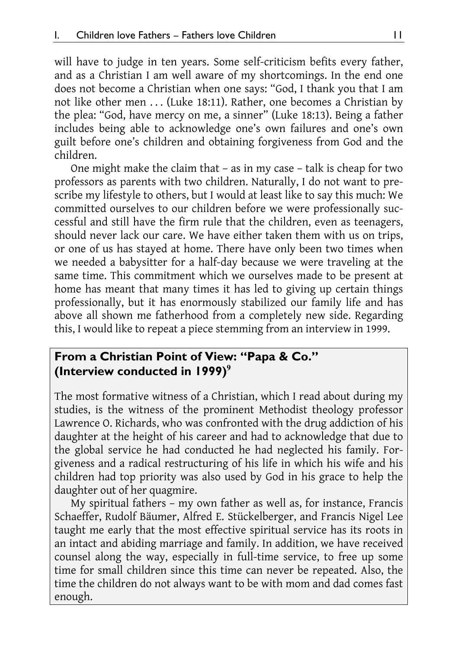will have to judge in ten years. Some self-criticism befits every father, and as a Christian I am well aware of my shortcomings. In the end one does not become a Christian when one says: "God, I thank you that I am not like other men ... (Luke 18:11). Rather, one becomes a Christian by the plea: "God, have mercy on me, a sinner" (Luke 18:13). Being a father includes being able to acknowledge one's own failures and one's own guilt before one's children and obtaining forgiveness from God and the children.

One might make the claim that – as in my case – talk is cheap for two professors as parents with two children. Naturally, I do not want to prescribe my lifestyle to others, but I would at least like to say this much: We committed ourselves to our children before we were professionally successful and still have the firm rule that the children, even as teenagers, should never lack our care. We have either taken them with us on trips, or one of us has stayed at home. There have only been two times when we needed a babysitter for a half-day because we were traveling at the same time. This commitment which we ourselves made to be present at home has meant that many times it has led to giving up certain things professionally, but it has enormously stabilized our family life and has above all shown me fatherhood from a completely new side. Regarding this, I would like to repeat a piece stemming from an interview in 1999.

#### **From a Christian Point of View: "Papa & Co." (Interview conducted in 1999)<sup>9</sup>**

The most formative witness of a Christian, which I read about during my studies, is the witness of the prominent Methodist theology professor Lawrence O. Richards, who was confronted with the drug addiction of his daughter at the height of his career and had to acknowledge that due to the global service he had conducted he had neglected his family. Forgiveness and a radical restructuring of his life in which his wife and his children had top priority was also used by God in his grace to help the daughter out of her quagmire.

My spiritual fathers – my own father as well as, for instance, Francis Schaeffer, Rudolf Bäumer, Alfred E. Stückelberger, and Francis Nigel Lee taught me early that the most effective spiritual service has its roots in an intact and abiding marriage and family. In addition, we have received counsel along the way, especially in full-time service, to free up some time for small children since this time can never be repeated. Also, the time the children do not always want to be with mom and dad comes fast enough.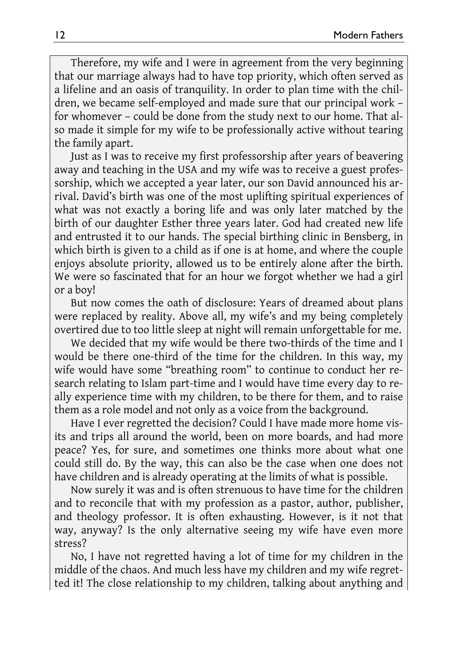Therefore, my wife and I were in agreement from the very beginning that our marriage always had to have top priority, which often served as a lifeline and an oasis of tranquility. In order to plan time with the children, we became self-employed and made sure that our principal work – for whomever – could be done from the study next to our home. That also made it simple for my wife to be professionally active without tearing the family apart.

Just as I was to receive my first professorship after years of beavering away and teaching in the USA and my wife was to receive a guest professorship, which we accepted a year later, our son David announced his arrival. David's birth was one of the most uplifting spiritual experiences of what was not exactly a boring life and was only later matched by the birth of our daughter Esther three years later. God had created new life and entrusted it to our hands. The special birthing clinic in Bensberg, in which birth is given to a child as if one is at home, and where the couple enjoys absolute priority, allowed us to be entirely alone after the birth. We were so fascinated that for an hour we forgot whether we had a girl or a boy!

But now comes the oath of disclosure: Years of dreamed about plans were replaced by reality. Above all, my wife's and my being completely overtired due to too little sleep at night will remain unforgettable for me.

We decided that my wife would be there two-thirds of the time and I would be there one-third of the time for the children. In this way, my wife would have some "breathing room" to continue to conduct her research relating to Islam part-time and I would have time every day to really experience time with my children, to be there for them, and to raise them as a role model and not only as a voice from the background.

Have I ever regretted the decision? Could I have made more home visits and trips all around the world, been on more boards, and had more peace? Yes, for sure, and sometimes one thinks more about what one could still do. By the way, this can also be the case when one does not have children and is already operating at the limits of what is possible.

Now surely it was and is often strenuous to have time for the children and to reconcile that with my profession as a pastor, author, publisher, and theology professor. It is often exhausting. However, is it not that way, anyway? Is the only alternative seeing my wife have even more stress?

No, I have not regretted having a lot of time for my children in the middle of the chaos. And much less have my children and my wife regretted it! The close relationship to my children, talking about anything and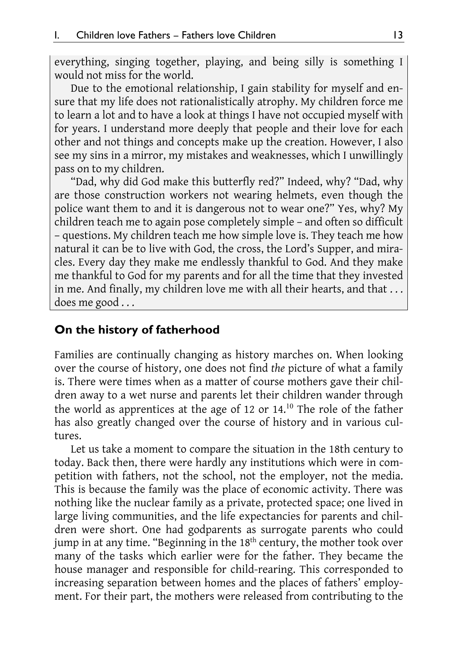everything, singing together, playing, and being silly is something I would not miss for the world.

Due to the emotional relationship, I gain stability for myself and ensure that my life does not rationalistically atrophy. My children force me to learn a lot and to have a look at things I have not occupied myself with for years. I understand more deeply that people and their love for each other and not things and concepts make up the creation. However, I also see my sins in a mirror, my mistakes and weaknesses, which I unwillingly pass on to my children.

"Dad, why did God make this butterfly red?" Indeed, why? "Dad, why are those construction workers not wearing helmets, even though the police want them to and it is dangerous not to wear one?" Yes, why? My children teach me to again pose completely simple – and often so difficult – questions. My children teach me how simple love is. They teach me how natural it can be to live with God, the cross, the Lord's Supper, and miracles. Every day they make me endlessly thankful to God. And they make me thankful to God for my parents and for all the time that they invested in me. And finally, my children love me with all their hearts, and that ... does me good . . .

#### **On the history of fatherhood**

Families are continually changing as history marches on. When looking over the course of history, one does not find *the* picture of what a family is. There were times when as a matter of course mothers gave their children away to a wet nurse and parents let their children wander through the world as apprentices at the age of 12 or  $14<sup>10</sup>$  The role of the father has also greatly changed over the course of history and in various cultures.

Let us take a moment to compare the situation in the 18th century to today. Back then, there were hardly any institutions which were in competition with fathers, not the school, not the employer, not the media. This is because the family was the place of economic activity. There was nothing like the nuclear family as a private, protected space; one lived in large living communities, and the life expectancies for parents and children were short. One had godparents as surrogate parents who could jump in at any time. "Beginning in the 18<sup>th</sup> century, the mother took over many of the tasks which earlier were for the father. They became the house manager and responsible for child-rearing. This corresponded to increasing separation between homes and the places of fathers' employment. For their part, the mothers were released from contributing to the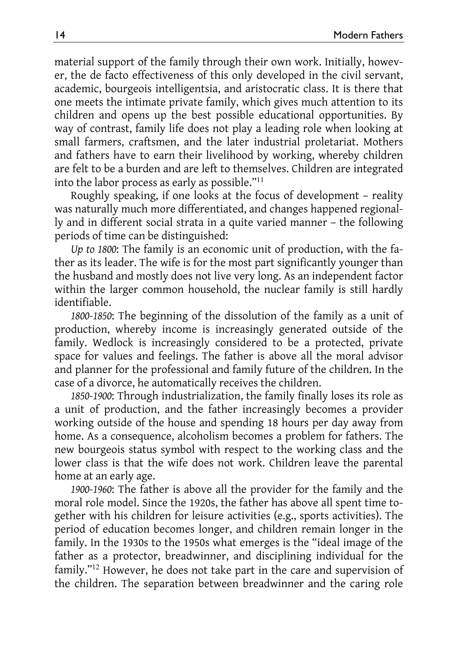material support of the family through their own work. Initially, however, the de facto effectiveness of this only developed in the civil servant, academic, bourgeois intelligentsia, and aristocratic class. It is there that one meets the intimate private family, which gives much attention to its children and opens up the best possible educational opportunities. By way of contrast, family life does not play a leading role when looking at small farmers, craftsmen, and the later industrial proletariat. Mothers and fathers have to earn their livelihood by working, whereby children are felt to be a burden and are left to themselves. Children are integrated into the labor process as early as possible."<sup>11</sup>

Roughly speaking, if one looks at the focus of development – reality was naturally much more differentiated, and changes happened regionally and in different social strata in a quite varied manner – the following periods of time can be distinguished:

*Up to 1800*: The family is an economic unit of production, with the father as its leader. The wife is for the most part significantly younger than the husband and mostly does not live very long. As an independent factor within the larger common household, the nuclear family is still hardly identifiable.

*1800-1850*: The beginning of the dissolution of the family as a unit of production, whereby income is increasingly generated outside of the family. Wedlock is increasingly considered to be a protected, private space for values and feelings. The father is above all the moral advisor and planner for the professional and family future of the children. In the case of a divorce, he automatically receives the children.

*1850-1900*: Through industrialization, the family finally loses its role as a unit of production, and the father increasingly becomes a provider working outside of the house and spending 18 hours per day away from home. As a consequence, alcoholism becomes a problem for fathers. The new bourgeois status symbol with respect to the working class and the lower class is that the wife does not work. Children leave the parental home at an early age.

*1900-1960*: The father is above all the provider for the family and the moral role model. Since the 1920s, the father has above all spent time together with his children for leisure activities (e.g., sports activities). The period of education becomes longer, and children remain longer in the family. In the 1930s to the 1950s what emerges is the "ideal image of the father as a protector, breadwinner, and disciplining individual for the family."<sup>12</sup> However, he does not take part in the care and supervision of the children. The separation between breadwinner and the caring role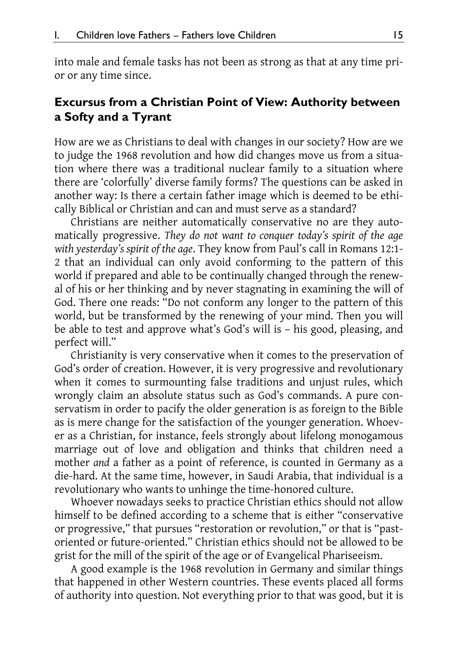into male and female tasks has not been as strong as that at any time prior or any time since.

#### **Excursus from a Christian Point of View: Authority between a Softy and a Tyrant**

How are we as Christians to deal with changes in our society? How are we to judge the 1968 revolution and how did changes move us from a situation where there was a traditional nuclear family to a situation where there are 'colorfully' diverse family forms? The questions can be asked in another way: Is there a certain father image which is deemed to be ethically Biblical or Christian and can and must serve as a standard?

Christians are neither automatically conservative no are they automatically progressive. *They do not want to conquer today's spirit of the age with yesterday's spirit of the age*. They know from Paul's call in Romans 12:1- 2 that an individual can only avoid conforming to the pattern of this world if prepared and able to be continually changed through the renewal of his or her thinking and by never stagnating in examining the will of God. There one reads: "Do not conform any longer to the pattern of this world, but be transformed by the renewing of your mind. Then you will be able to test and approve what's God's will is – his good, pleasing, and perfect will."

Christianity is very conservative when it comes to the preservation of God's order of creation. However, it is very progressive and revolutionary when it comes to surmounting false traditions and unjust rules, which wrongly claim an absolute status such as God's commands. A pure conservatism in order to pacify the older generation is as foreign to the Bible as is mere change for the satisfaction of the younger generation. Whoever as a Christian, for instance, feels strongly about lifelong monogamous marriage out of love and obligation and thinks that children need a mother *and* a father as a point of reference, is counted in Germany as a die-hard. At the same time, however, in Saudi Arabia, that individual is a revolutionary who wants to unhinge the time-honored culture.

Whoever nowadays seeks to practice Christian ethics should not allow himself to be defined according to a scheme that is either "conservative or progressive," that pursues "restoration or revolution," or that is "pastoriented or future-oriented." Christian ethics should not be allowed to be grist for the mill of the spirit of the age or of Evangelical Phariseeism.

A good example is the 1968 revolution in Germany and similar things that happened in other Western countries. These events placed all forms of authority into question. Not everything prior to that was good, but it is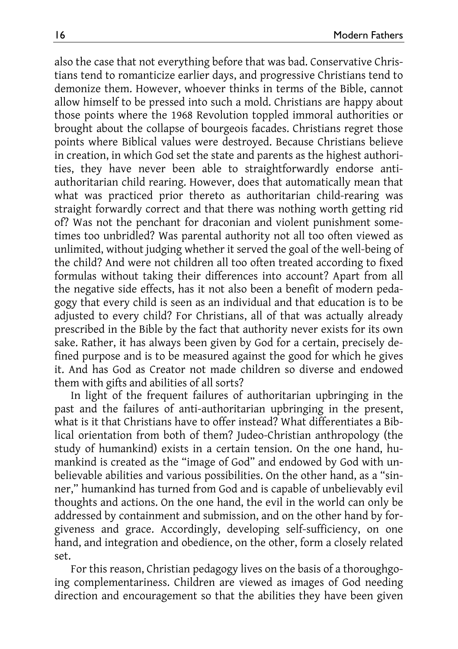also the case that not everything before that was bad. Conservative Christians tend to romanticize earlier days, and progressive Christians tend to demonize them. However, whoever thinks in terms of the Bible, cannot allow himself to be pressed into such a mold. Christians are happy about those points where the 1968 Revolution toppled immoral authorities or brought about the collapse of bourgeois facades. Christians regret those points where Biblical values were destroyed. Because Christians believe in creation, in which God set the state and parents as the highest authorities, they have never been able to straightforwardly endorse antiauthoritarian child rearing. However, does that automatically mean that what was practiced prior thereto as authoritarian child-rearing was straight forwardly correct and that there was nothing worth getting rid of? Was not the penchant for draconian and violent punishment sometimes too unbridled? Was parental authority not all too often viewed as unlimited, without judging whether it served the goal of the well-being of the child? And were not children all too often treated according to fixed formulas without taking their differences into account? Apart from all the negative side effects, has it not also been a benefit of modern pedagogy that every child is seen as an individual and that education is to be adjusted to every child? For Christians, all of that was actually already prescribed in the Bible by the fact that authority never exists for its own sake. Rather, it has always been given by God for a certain, precisely defined purpose and is to be measured against the good for which he gives it. And has God as Creator not made children so diverse and endowed them with gifts and abilities of all sorts?

In light of the frequent failures of authoritarian upbringing in the past and the failures of anti-authoritarian upbringing in the present, what is it that Christians have to offer instead? What differentiates a Biblical orientation from both of them? Judeo-Christian anthropology (the study of humankind) exists in a certain tension. On the one hand, humankind is created as the "image of God" and endowed by God with unbelievable abilities and various possibilities. On the other hand, as a "sinner," humankind has turned from God and is capable of unbelievably evil thoughts and actions. On the one hand, the evil in the world can only be addressed by containment and submission, and on the other hand by forgiveness and grace. Accordingly, developing self-sufficiency, on one hand, and integration and obedience, on the other, form a closely related set.

For this reason, Christian pedagogy lives on the basis of a thoroughgoing complementariness. Children are viewed as images of God needing direction and encouragement so that the abilities they have been given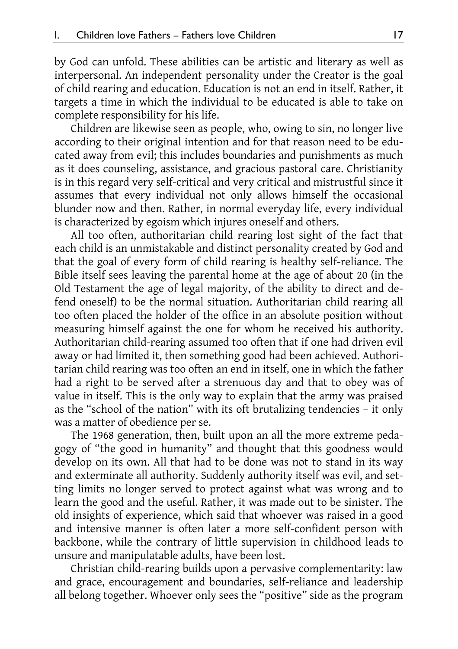by God can unfold. These abilities can be artistic and literary as well as interpersonal. An independent personality under the Creator is the goal of child rearing and education. Education is not an end in itself. Rather, it targets a time in which the individual to be educated is able to take on complete responsibility for his life.

Children are likewise seen as people, who, owing to sin, no longer live according to their original intention and for that reason need to be educated away from evil; this includes boundaries and punishments as much as it does counseling, assistance, and gracious pastoral care. Christianity is in this regard very self-critical and very critical and mistrustful since it assumes that every individual not only allows himself the occasional blunder now and then. Rather, in normal everyday life, every individual is characterized by egoism which injures oneself and others.

All too often, authoritarian child rearing lost sight of the fact that each child is an unmistakable and distinct personality created by God and that the goal of every form of child rearing is healthy self-reliance. The Bible itself sees leaving the parental home at the age of about 20 (in the Old Testament the age of legal majority, of the ability to direct and defend oneself) to be the normal situation. Authoritarian child rearing all too often placed the holder of the office in an absolute position without measuring himself against the one for whom he received his authority. Authoritarian child-rearing assumed too often that if one had driven evil away or had limited it, then something good had been achieved. Authoritarian child rearing was too often an end in itself, one in which the father had a right to be served after a strenuous day and that to obey was of value in itself. This is the only way to explain that the army was praised as the "school of the nation" with its oft brutalizing tendencies – it only was a matter of obedience per se.

The 1968 generation, then, built upon an all the more extreme pedagogy of "the good in humanity" and thought that this goodness would develop on its own. All that had to be done was not to stand in its way and exterminate all authority. Suddenly authority itself was evil, and setting limits no longer served to protect against what was wrong and to learn the good and the useful. Rather, it was made out to be sinister. The old insights of experience, which said that whoever was raised in a good and intensive manner is often later a more self-confident person with backbone, while the contrary of little supervision in childhood leads to unsure and manipulatable adults, have been lost.

Christian child-rearing builds upon a pervasive complementarity: law and grace, encouragement and boundaries, self-reliance and leadership all belong together. Whoever only sees the "positive" side as the program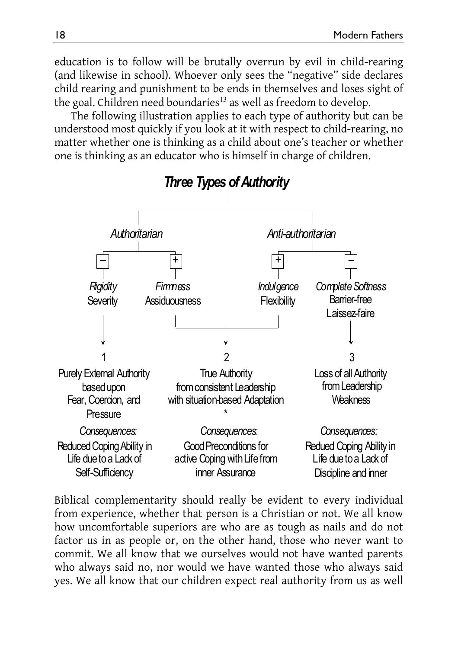education is to follow will be brutally overrun by evil in child-rearing (and likewise in school). Whoever only sees the "negative" side declares child rearing and punishment to be ends in themselves and loses sight of the goal. Children need boundaries<sup>13</sup> as well as freedom to develop.

The following illustration applies to each type of authority but can be understood most quickly if you look at it with respect to child-rearing, no matter whether one is thinking as a child about one's teacher or whether one is thinking as an educator who is himself in charge of children.



Biblical complementarity should really be evident to every individual from experience, whether that person is a Christian or not. We all know how uncomfortable superiors are who are as tough as nails and do not factor us in as people or, on the other hand, those who never want to commit. We all know that we ourselves would not have wanted parents who always said no, nor would we have wanted those who always said yes. We all know that our children expect real authority from us as well

*Three Types of Authority*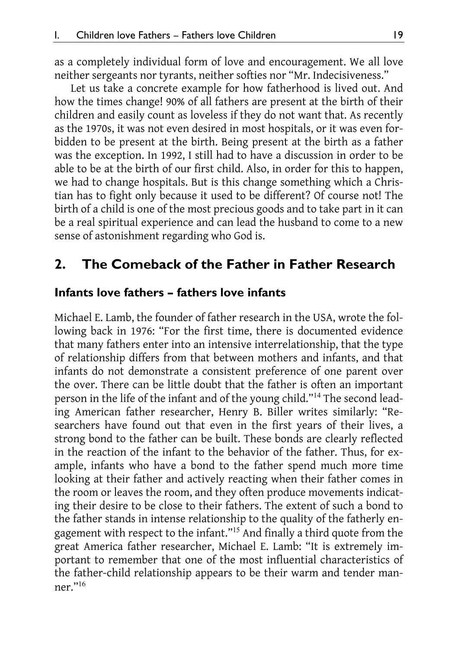as a completely individual form of love and encouragement. We all love neither sergeants nor tyrants, neither softies nor "Mr. Indecisiveness."

Let us take a concrete example for how fatherhood is lived out. And how the times change! 90% of all fathers are present at the birth of their children and easily count as loveless if they do not want that. As recently as the 1970s, it was not even desired in most hospitals, or it was even forbidden to be present at the birth. Being present at the birth as a father was the exception. In 1992, I still had to have a discussion in order to be able to be at the birth of our first child. Also, in order for this to happen, we had to change hospitals. But is this change something which a Christian has to fight only because it used to be different? Of course not! The birth of a child is one of the most precious goods and to take part in it can be a real spiritual experience and can lead the husband to come to a new sense of astonishment regarding who God is.

#### **2. The Comeback of the Father in Father Research**

#### **Infants love fathers – fathers love infants**

Michael E. Lamb, the founder of father research in the USA, wrote the following back in 1976: "For the first time, there is documented evidence that many fathers enter into an intensive interrelationship, that the type of relationship differs from that between mothers and infants, and that infants do not demonstrate a consistent preference of one parent over the over. There can be little doubt that the father is often an important person in the life of the infant and of the young child."<sup>14</sup> The second leading American father researcher, Henry B. Biller writes similarly: "Researchers have found out that even in the first years of their lives, a strong bond to the father can be built. These bonds are clearly reflected in the reaction of the infant to the behavior of the father. Thus, for example, infants who have a bond to the father spend much more time looking at their father and actively reacting when their father comes in the room or leaves the room, and they often produce movements indicating their desire to be close to their fathers. The extent of such a bond to the father stands in intense relationship to the quality of the fatherly engagement with respect to the infant."<sup>15</sup> And finally a third quote from the great America father researcher, Michael E. Lamb: "It is extremely important to remember that one of the most influential characteristics of the father-child relationship appears to be their warm and tender manner."<sup>16</sup>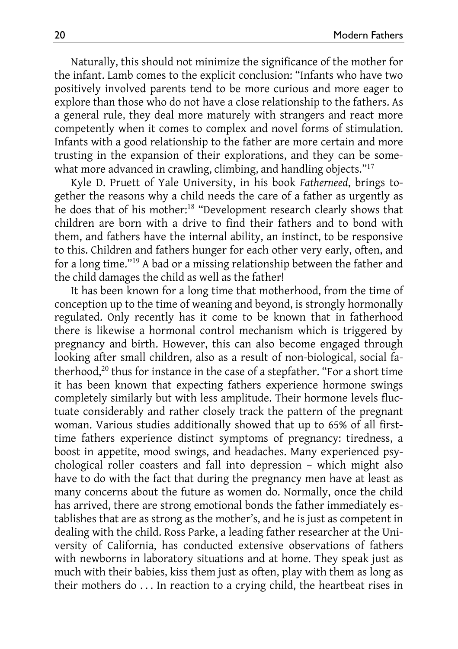Naturally, this should not minimize the significance of the mother for the infant. Lamb comes to the explicit conclusion: "Infants who have two positively involved parents tend to be more curious and more eager to explore than those who do not have a close relationship to the fathers. As a general rule, they deal more maturely with strangers and react more competently when it comes to complex and novel forms of stimulation. Infants with a good relationship to the father are more certain and more trusting in the expansion of their explorations, and they can be somewhat more advanced in crawling, climbing, and handling objects."<sup>17</sup>

Kyle D. Pruett of Yale University, in his book *Fatherneed*, brings together the reasons why a child needs the care of a father as urgently as he does that of his mother:<sup>18</sup> "Development research clearly shows that children are born with a drive to find their fathers and to bond with them, and fathers have the internal ability, an instinct, to be responsive to this. Children and fathers hunger for each other very early, often, and for a long time."<sup>19</sup> A bad or a missing relationship between the father and the child damages the child as well as the father!

It has been known for a long time that motherhood, from the time of conception up to the time of weaning and beyond, is strongly hormonally regulated. Only recently has it come to be known that in fatherhood there is likewise a hormonal control mechanism which is triggered by pregnancy and birth. However, this can also become engaged through looking after small children, also as a result of non-biological, social fatherhood,<sup>20</sup> thus for instance in the case of a stepfather. "For a short time it has been known that expecting fathers experience hormone swings completely similarly but with less amplitude. Their hormone levels fluctuate considerably and rather closely track the pattern of the pregnant woman. Various studies additionally showed that up to 65% of all firsttime fathers experience distinct symptoms of pregnancy: tiredness, a boost in appetite, mood swings, and headaches. Many experienced psychological roller coasters and fall into depression – which might also have to do with the fact that during the pregnancy men have at least as many concerns about the future as women do. Normally, once the child has arrived, there are strong emotional bonds the father immediately establishes that are as strong as the mother's, and he is just as competent in dealing with the child. Ross Parke, a leading father researcher at the University of California, has conducted extensive observations of fathers with newborns in laboratory situations and at home. They speak just as much with their babies, kiss them just as often, play with them as long as their mothers do . . . In reaction to a crying child, the heartbeat rises in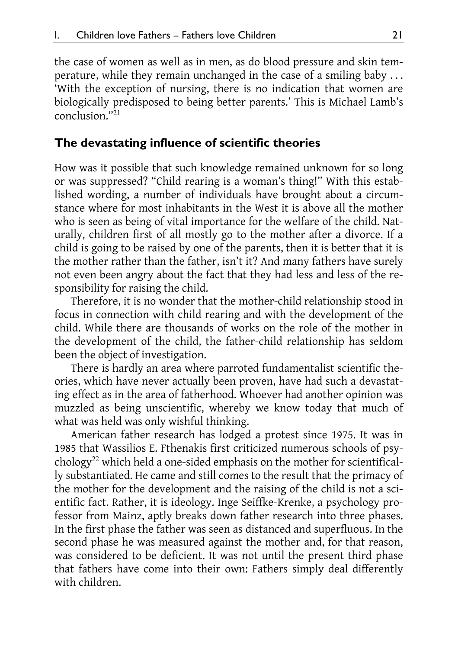the case of women as well as in men, as do blood pressure and skin temperature, while they remain unchanged in the case of a smiling baby . . . 'With the exception of nursing, there is no indication that women are biologically predisposed to being better parents.' This is Michael Lamb's conclusion."<sup>21</sup>

#### **The devastating influence of scientific theories**

How was it possible that such knowledge remained unknown for so long or was suppressed? "Child rearing is a woman's thing!" With this established wording, a number of individuals have brought about a circumstance where for most inhabitants in the West it is above all the mother who is seen as being of vital importance for the welfare of the child. Naturally, children first of all mostly go to the mother after a divorce. If a child is going to be raised by one of the parents, then it is better that it is the mother rather than the father, isn't it? And many fathers have surely not even been angry about the fact that they had less and less of the responsibility for raising the child.

Therefore, it is no wonder that the mother-child relationship stood in focus in connection with child rearing and with the development of the child. While there are thousands of works on the role of the mother in the development of the child, the father-child relationship has seldom been the object of investigation.

There is hardly an area where parroted fundamentalist scientific theories, which have never actually been proven, have had such a devastating effect as in the area of fatherhood. Whoever had another opinion was muzzled as being unscientific, whereby we know today that much of what was held was only wishful thinking.

American father research has lodged a protest since 1975. It was in 1985 that Wassilios E. Fthenakis first criticized numerous schools of psychology<sup>22</sup> which held a one-sided emphasis on the mother for scientifically substantiated. He came and still comes to the result that the primacy of the mother for the development and the raising of the child is not a scientific fact. Rather, it is ideology. Inge Seiffke-Krenke, a psychology professor from Mainz, aptly breaks down father research into three phases. In the first phase the father was seen as distanced and superfluous. In the second phase he was measured against the mother and, for that reason, was considered to be deficient. It was not until the present third phase that fathers have come into their own: Fathers simply deal differently with children.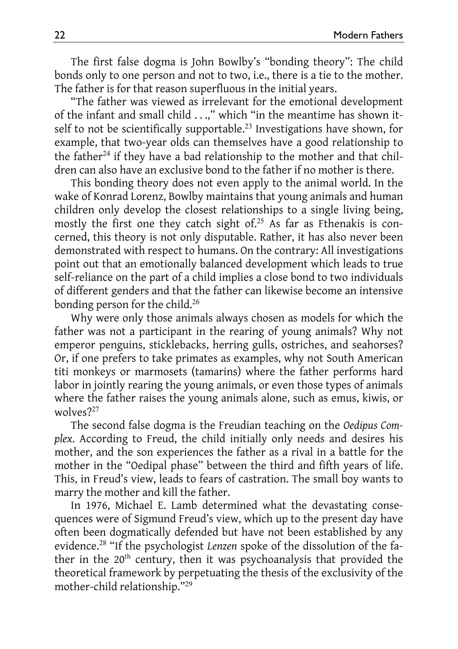The first false dogma is John Bowlby's "bonding theory": The child bonds only to one person and not to two, i.e., there is a tie to the mother. The father is for that reason superfluous in the initial years.

"The father was viewed as irrelevant for the emotional development of the infant and small child . . .," which "in the meantime has shown itself to not be scientifically supportable.<sup>23</sup> Investigations have shown, for example, that two-year olds can themselves have a good relationship to the father<sup>24</sup> if they have a bad relationship to the mother and that children can also have an exclusive bond to the father if no mother is there.

This bonding theory does not even apply to the animal world. In the wake of Konrad Lorenz, Bowlby maintains that young animals and human children only develop the closest relationships to a single living being, mostly the first one they catch sight of.<sup>25</sup> As far as Fthenakis is concerned, this theory is not only disputable. Rather, it has also never been demonstrated with respect to humans. On the contrary: All investigations point out that an emotionally balanced development which leads to true self-reliance on the part of a child implies a close bond to two individuals of different genders and that the father can likewise become an intensive bonding person for the child.<sup>26</sup>

Why were only those animals always chosen as models for which the father was not a participant in the rearing of young animals? Why not emperor penguins, sticklebacks, herring gulls, ostriches, and seahorses? Or, if one prefers to take primates as examples, why not South American titi monkeys or marmosets (tamarins) where the father performs hard labor in jointly rearing the young animals, or even those types of animals where the father raises the young animals alone, such as emus, kiwis, or wolves?<sup>27</sup>

The second false dogma is the Freudian teaching on the *Oedipus Complex*. According to Freud, the child initially only needs and desires his mother, and the son experiences the father as a rival in a battle for the mother in the "Oedipal phase" between the third and fifth years of life. This, in Freud's view, leads to fears of castration. The small boy wants to marry the mother and kill the father.

In 1976, Michael E. Lamb determined what the devastating consequences were of Sigmund Freud's view, which up to the present day have often been dogmatically defended but have not been established by any evidence.<sup>28</sup> "If the psychologist *Lenzen* spoke of the dissolution of the father in the 20<sup>th</sup> century, then it was psychoanalysis that provided the theoretical framework by perpetuating the thesis of the exclusivity of the mother-child relationship."<sup>29</sup>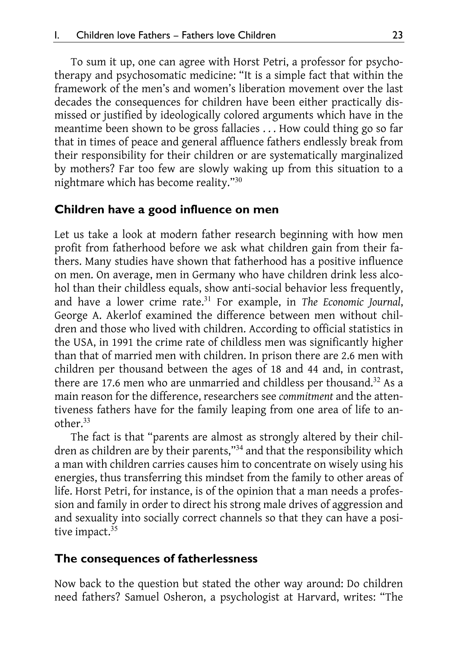To sum it up, one can agree with Horst Petri, a professor for psychotherapy and psychosomatic medicine: "It is a simple fact that within the framework of the men's and women's liberation movement over the last decades the consequences for children have been either practically dismissed or justified by ideologically colored arguments which have in the meantime been shown to be gross fallacies . . . How could thing go so far that in times of peace and general affluence fathers endlessly break from their responsibility for their children or are systematically marginalized by mothers? Far too few are slowly waking up from this situation to a nightmare which has become reality."<sup>30</sup>

#### **Children have a good influence on men**

Let us take a look at modern father research beginning with how men profit from fatherhood before we ask what children gain from their fathers. Many studies have shown that fatherhood has a positive influence on men. On average, men in Germany who have children drink less alcohol than their childless equals, show anti-social behavior less frequently, and have a lower crime rate.<sup>31</sup> For example, in *The Economic Journal*, George A. Akerlof examined the difference between men without children and those who lived with children. According to official statistics in the USA, in 1991 the crime rate of childless men was significantly higher than that of married men with children. In prison there are 2.6 men with children per thousand between the ages of 18 and 44 and, in contrast, there are 17.6 men who are unmarried and childless per thousand.<sup>32</sup> As a main reason for the difference, researchers see *commitment* and the attentiveness fathers have for the family leaping from one area of life to another.<sup>33</sup>

The fact is that "parents are almost as strongly altered by their children as children are by their parents,"<sup>34</sup> and that the responsibility which a man with children carries causes him to concentrate on wisely using his energies, thus transferring this mindset from the family to other areas of life. Horst Petri, for instance, is of the opinion that a man needs a profession and family in order to direct his strong male drives of aggression and and sexuality into socially correct channels so that they can have a positive impact.<sup>35</sup>

#### **The consequences of fatherlessness**

Now back to the question but stated the other way around: Do children need fathers? Samuel Osheron, a psychologist at Harvard, writes: "The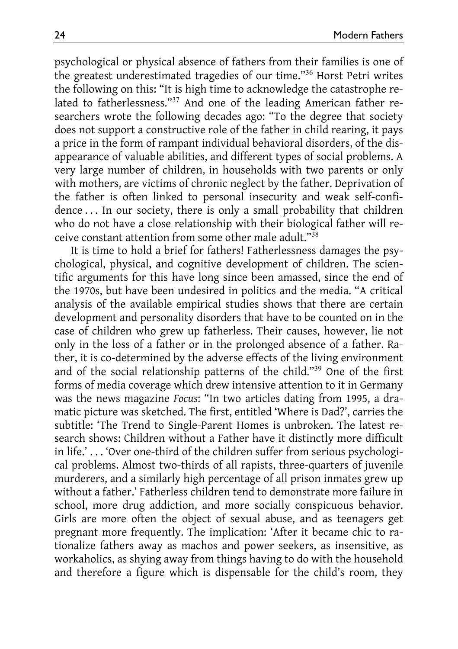psychological or physical absence of fathers from their families is one of the greatest underestimated tragedies of our time."<sup>36</sup> Horst Petri writes the following on this: "It is high time to acknowledge the catastrophe related to fatherlessness."<sup>37</sup> And one of the leading American father researchers wrote the following decades ago: "To the degree that society does not support a constructive role of the father in child rearing, it pays a price in the form of rampant individual behavioral disorders, of the disappearance of valuable abilities, and different types of social problems. A very large number of children, in households with two parents or only with mothers, are victims of chronic neglect by the father. Deprivation of the father is often linked to personal insecurity and weak self-confidence . . . In our society, there is only a small probability that children who do not have a close relationship with their biological father will receive constant attention from some other male adult."<sup>38</sup>

It is time to hold a brief for fathers! Fatherlessness damages the psychological, physical, and cognitive development of children. The scientific arguments for this have long since been amassed, since the end of the 1970s, but have been undesired in politics and the media. "A critical analysis of the available empirical studies shows that there are certain development and personality disorders that have to be counted on in the case of children who grew up fatherless. Their causes, however, lie not only in the loss of a father or in the prolonged absence of a father. Rather, it is co-determined by the adverse effects of the living environment and of the social relationship patterns of the child."<sup>39</sup> One of the first forms of media coverage which drew intensive attention to it in Germany was the news magazine *Focus*: "In two articles dating from 1995, a dramatic picture was sketched. The first, entitled 'Where is Dad?', carries the subtitle: 'The Trend to Single-Parent Homes is unbroken. The latest research shows: Children without a Father have it distinctly more difficult in life.' . . . 'Over one-third of the children suffer from serious psychological problems. Almost two-thirds of all rapists, three-quarters of juvenile murderers, and a similarly high percentage of all prison inmates grew up without a father.' Fatherless children tend to demonstrate more failure in school, more drug addiction, and more socially conspicuous behavior. Girls are more often the object of sexual abuse, and as teenagers get pregnant more frequently. The implication: 'After it became chic to rationalize fathers away as machos and power seekers, as insensitive, as workaholics, as shying away from things having to do with the household and therefore a figure which is dispensable for the child's room, they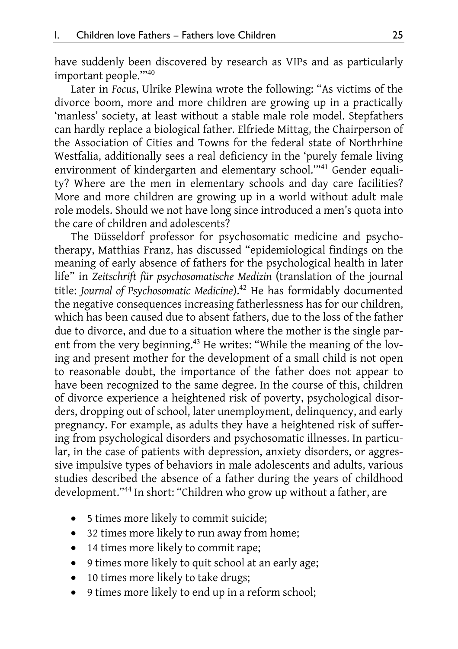have suddenly been discovered by research as VIPs and as particularly important people.'"<sup>40</sup>

Later in *Focus*, Ulrike Plewina wrote the following: "As victims of the divorce boom, more and more children are growing up in a practically 'manless' society, at least without a stable male role model. Stepfathers can hardly replace a biological father. Elfriede Mittag, the Chairperson of the Association of Cities and Towns for the federal state of Northrhine Westfalia, additionally sees a real deficiency in the 'purely female living environment of kindergarten and elementary school."<sup>41</sup> Gender equality? Where are the men in elementary schools and day care facilities? More and more children are growing up in a world without adult male role models. Should we not have long since introduced a men's quota into the care of children and adolescents?

The Düsseldorf professor for psychosomatic medicine and psychotherapy, Matthias Franz, has discussed "epidemiological findings on the meaning of early absence of fathers for the psychological health in later life" in *Zeitschrift für psychosomatische Medizin* (translation of the journal title: *Journal of Psychosomatic Medicine*).<sup>42</sup> He has formidably documented the negative consequences increasing fatherlessness has for our children, which has been caused due to absent fathers, due to the loss of the father due to divorce, and due to a situation where the mother is the single parent from the very beginning.<sup>43</sup> He writes: "While the meaning of the loving and present mother for the development of a small child is not open to reasonable doubt, the importance of the father does not appear to have been recognized to the same degree. In the course of this, children of divorce experience a heightened risk of poverty, psychological disorders, dropping out of school, later unemployment, delinquency, and early pregnancy. For example, as adults they have a heightened risk of suffering from psychological disorders and psychosomatic illnesses. In particular, in the case of patients with depression, anxiety disorders, or aggressive impulsive types of behaviors in male adolescents and adults, various studies described the absence of a father during the years of childhood development."<sup>44</sup> In short: "Children who grow up without a father, are

- 5 times more likely to commit suicide;
- 32 times more likely to run away from home;
- 14 times more likely to commit rape;
- 9 times more likely to quit school at an early age;
- 10 times more likely to take drugs;
- 9 times more likely to end up in a reform school;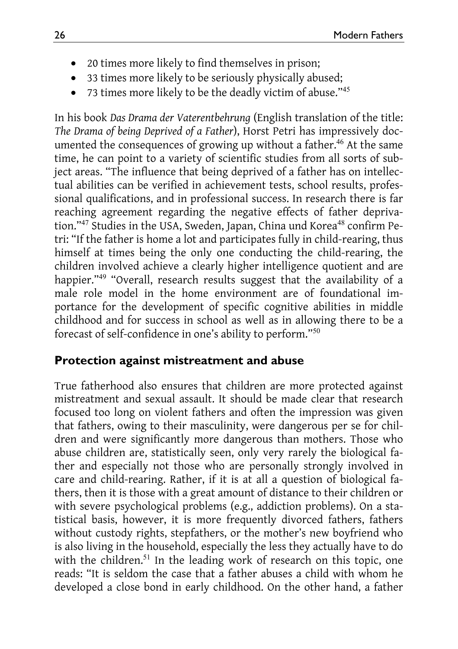- 20 times more likely to find themselves in prison;
- 33 times more likely to be seriously physically abused;
- 73 times more likely to be the deadly victim of abuse."<sup>45</sup>

In his book *Das Drama der Vaterentbehrung* (English translation of the title: *The Drama of being Deprived of a Father*), Horst Petri has impressively documented the consequences of growing up without a father.<sup>46</sup> At the same time, he can point to a variety of scientific studies from all sorts of subject areas. "The influence that being deprived of a father has on intellectual abilities can be verified in achievement tests, school results, professional qualifications, and in professional success. In research there is far reaching agreement regarding the negative effects of father deprivation."<sup>47</sup> Studies in the USA, Sweden, Japan, China und Korea<sup>48</sup> confirm Petri: "If the father is home a lot and participates fully in child-rearing, thus himself at times being the only one conducting the child-rearing, the children involved achieve a clearly higher intelligence quotient and are happier."<sup>49</sup> "Overall, research results suggest that the availability of a male role model in the home environment are of foundational importance for the development of specific cognitive abilities in middle childhood and for success in school as well as in allowing there to be a forecast of self-confidence in one's ability to perform."<sup>50</sup>

#### **Protection against mistreatment and abuse**

True fatherhood also ensures that children are more protected against mistreatment and sexual assault. It should be made clear that research focused too long on violent fathers and often the impression was given that fathers, owing to their masculinity, were dangerous per se for children and were significantly more dangerous than mothers. Those who abuse children are, statistically seen, only very rarely the biological father and especially not those who are personally strongly involved in care and child-rearing. Rather, if it is at all a question of biological fathers, then it is those with a great amount of distance to their children or with severe psychological problems (e.g., addiction problems). On a statistical basis, however, it is more frequently divorced fathers, fathers without custody rights, stepfathers, or the mother's new boyfriend who is also living in the household, especially the less they actually have to do with the children.<sup>51</sup> In the leading work of research on this topic, one reads: "It is seldom the case that a father abuses a child with whom he developed a close bond in early childhood. On the other hand, a father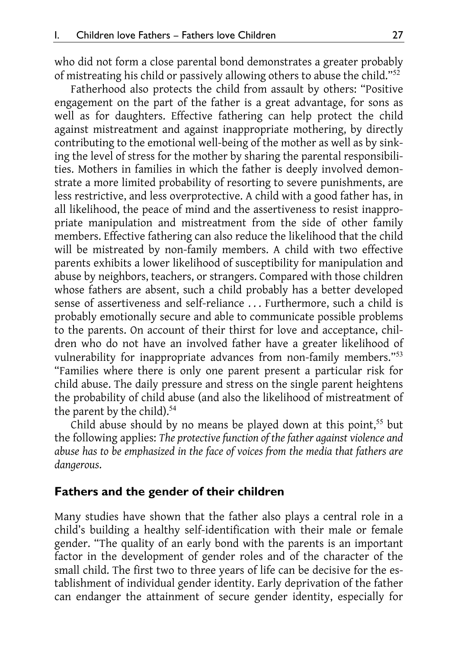who did not form a close parental bond demonstrates a greater probably of mistreating his child or passively allowing others to abuse the child."<sup>52</sup>

Fatherhood also protects the child from assault by others: "Positive engagement on the part of the father is a great advantage, for sons as well as for daughters. Effective fathering can help protect the child against mistreatment and against inappropriate mothering, by directly contributing to the emotional well-being of the mother as well as by sinking the level of stress for the mother by sharing the parental responsibilities. Mothers in families in which the father is deeply involved demonstrate a more limited probability of resorting to severe punishments, are less restrictive, and less overprotective. A child with a good father has, in all likelihood, the peace of mind and the assertiveness to resist inappropriate manipulation and mistreatment from the side of other family members. Effective fathering can also reduce the likelihood that the child will be mistreated by non-family members. A child with two effective parents exhibits a lower likelihood of susceptibility for manipulation and abuse by neighbors, teachers, or strangers. Compared with those children whose fathers are absent, such a child probably has a better developed sense of assertiveness and self-reliance . . . Furthermore, such a child is probably emotionally secure and able to communicate possible problems to the parents. On account of their thirst for love and acceptance, children who do not have an involved father have a greater likelihood of vulnerability for inappropriate advances from non-family members."<sup>53</sup> "Families where there is only one parent present a particular risk for child abuse. The daily pressure and stress on the single parent heightens the probability of child abuse (and also the likelihood of mistreatment of the parent by the child).<sup>54</sup>

Child abuse should by no means be played down at this point,<sup>55</sup> but the following applies: *The protective function of the father against violence and abuse has to be emphasized in the face of voices from the media that fathers are dangerous*.

#### **Fathers and the gender of their children**

Many studies have shown that the father also plays a central role in a child's building a healthy self-identification with their male or female gender. "The quality of an early bond with the parents is an important factor in the development of gender roles and of the character of the small child. The first two to three years of life can be decisive for the establishment of individual gender identity. Early deprivation of the father can endanger the attainment of secure gender identity, especially for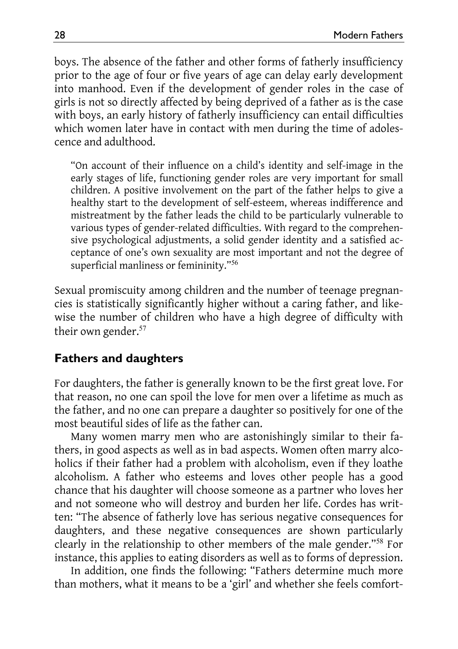boys. The absence of the father and other forms of fatherly insufficiency prior to the age of four or five years of age can delay early development into manhood. Even if the development of gender roles in the case of girls is not so directly affected by being deprived of a father as is the case with boys, an early history of fatherly insufficiency can entail difficulties which women later have in contact with men during the time of adolescence and adulthood.

"On account of their influence on a child's identity and self-image in the early stages of life, functioning gender roles are very important for small children. A positive involvement on the part of the father helps to give a healthy start to the development of self-esteem, whereas indifference and mistreatment by the father leads the child to be particularly vulnerable to various types of gender-related difficulties. With regard to the comprehensive psychological adjustments, a solid gender identity and a satisfied acceptance of one's own sexuality are most important and not the degree of superficial manliness or femininity."<sup>56</sup>

Sexual promiscuity among children and the number of teenage pregnancies is statistically significantly higher without a caring father, and likewise the number of children who have a high degree of difficulty with their own gender.<sup>57</sup>

#### **Fathers and daughters**

For daughters, the father is generally known to be the first great love. For that reason, no one can spoil the love for men over a lifetime as much as the father, and no one can prepare a daughter so positively for one of the most beautiful sides of life as the father can.

Many women marry men who are astonishingly similar to their fathers, in good aspects as well as in bad aspects. Women often marry alcoholics if their father had a problem with alcoholism, even if they loathe alcoholism. A father who esteems and loves other people has a good chance that his daughter will choose someone as a partner who loves her and not someone who will destroy and burden her life. Cordes has written: "The absence of fatherly love has serious negative consequences for daughters, and these negative consequences are shown particularly clearly in the relationship to other members of the male gender."<sup>58</sup> For instance, this applies to eating disorders as well as to forms of depression.

In addition, one finds the following: "Fathers determine much more than mothers, what it means to be a 'girl' and whether she feels comfort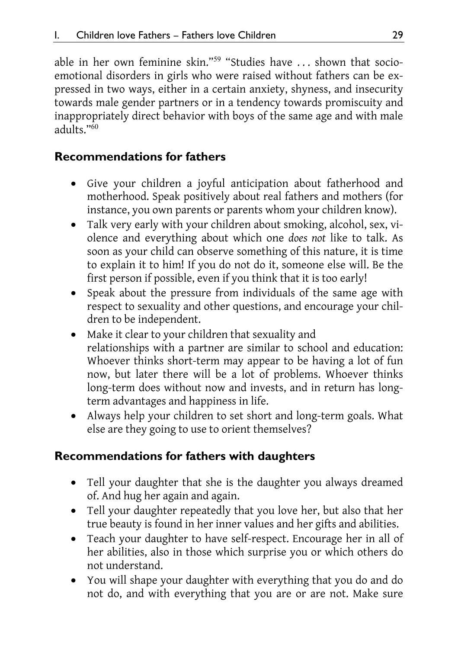able in her own feminine skin."<sup>59</sup> "Studies have ... shown that socioemotional disorders in girls who were raised without fathers can be expressed in two ways, either in a certain anxiety, shyness, and insecurity towards male gender partners or in a tendency towards promiscuity and inappropriately direct behavior with boys of the same age and with male adults<sup>"60</sup>

## **Recommendations for fathers**

- Give your children a joyful anticipation about fatherhood and motherhood. Speak positively about real fathers and mothers (for instance, you own parents or parents whom your children know).
- Talk very early with your children about smoking, alcohol, sex, violence and everything about which one *does not* like to talk. As soon as your child can observe something of this nature, it is time to explain it to him! If you do not do it, someone else will. Be the first person if possible, even if you think that it is too early!
- Speak about the pressure from individuals of the same age with respect to sexuality and other questions, and encourage your children to be independent.
- Make it clear to your children that sexuality and relationships with a partner are similar to school and education: Whoever thinks short-term may appear to be having a lot of fun now, but later there will be a lot of problems. Whoever thinks long-term does without now and invests, and in return has longterm advantages and happiness in life.
- Always help your children to set short and long-term goals. What else are they going to use to orient themselves?

# **Recommendations for fathers with daughters**

- Tell your daughter that she is the daughter you always dreamed of. And hug her again and again.
- Tell your daughter repeatedly that you love her, but also that her true beauty is found in her inner values and her gifts and abilities.
- Teach your daughter to have self-respect. Encourage her in all of her abilities, also in those which surprise you or which others do not understand.
- You will shape your daughter with everything that you do and do not do, and with everything that you are or are not. Make sure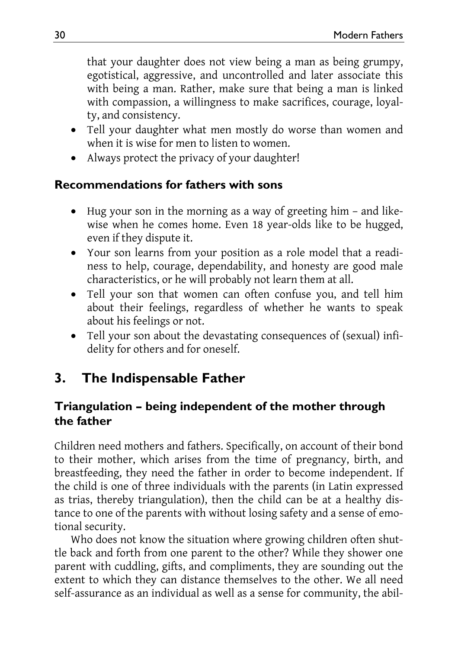that your daughter does not view being a man as being grumpy, egotistical, aggressive, and uncontrolled and later associate this with being a man. Rather, make sure that being a man is linked with compassion, a willingness to make sacrifices, courage, loyalty, and consistency.

- Tell your daughter what men mostly do worse than women and when it is wise for men to listen to women.
- Always protect the privacy of your daughter!

## **Recommendations for fathers with sons**

- Hug your son in the morning as a way of greeting him and likewise when he comes home. Even 18 year-olds like to be hugged, even if they dispute it.
- Your son learns from your position as a role model that a readiness to help, courage, dependability, and honesty are good male characteristics, or he will probably not learn them at all.
- Tell your son that women can often confuse you, and tell him about their feelings, regardless of whether he wants to speak about his feelings or not.
- Tell your son about the devastating consequences of (sexual) infidelity for others and for oneself.

# **3. The Indispensable Father**

## **Triangulation – being independent of the mother through the father**

Children need mothers and fathers. Specifically, on account of their bond to their mother, which arises from the time of pregnancy, birth, and breastfeeding, they need the father in order to become independent. If the child is one of three individuals with the parents (in Latin expressed as trias, thereby triangulation), then the child can be at a healthy distance to one of the parents with without losing safety and a sense of emotional security.

Who does not know the situation where growing children often shuttle back and forth from one parent to the other? While they shower one parent with cuddling, gifts, and compliments, they are sounding out the extent to which they can distance themselves to the other. We all need self-assurance as an individual as well as a sense for community, the abil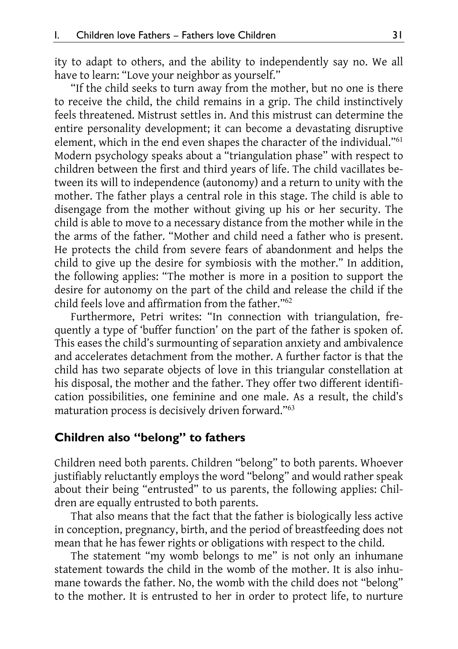ity to adapt to others, and the ability to independently say no. We all have to learn: "Love your neighbor as yourself."

"If the child seeks to turn away from the mother, but no one is there to receive the child, the child remains in a grip. The child instinctively feels threatened. Mistrust settles in. And this mistrust can determine the entire personality development; it can become a devastating disruptive element, which in the end even shapes the character of the individual."<sup>61</sup> Modern psychology speaks about a "triangulation phase" with respect to children between the first and third years of life. The child vacillates between its will to independence (autonomy) and a return to unity with the mother. The father plays a central role in this stage. The child is able to disengage from the mother without giving up his or her security. The child is able to move to a necessary distance from the mother while in the the arms of the father. "Mother and child need a father who is present. He protects the child from severe fears of abandonment and helps the child to give up the desire for symbiosis with the mother." In addition, the following applies: "The mother is more in a position to support the desire for autonomy on the part of the child and release the child if the child feels love and affirmation from the father."<sup>62</sup>

Furthermore, Petri writes: "In connection with triangulation, frequently a type of 'buffer function' on the part of the father is spoken of. This eases the child's surmounting of separation anxiety and ambivalence and accelerates detachment from the mother. A further factor is that the child has two separate objects of love in this triangular constellation at his disposal, the mother and the father. They offer two different identification possibilities, one feminine and one male. As a result, the child's maturation process is decisively driven forward."<sup>63</sup>

#### **Children also "belong" to fathers**

Children need both parents. Children "belong" to both parents. Whoever justifiably reluctantly employs the word "belong" and would rather speak about their being "entrusted" to us parents, the following applies: Children are equally entrusted to both parents.

That also means that the fact that the father is biologically less active in conception, pregnancy, birth, and the period of breastfeeding does not mean that he has fewer rights or obligations with respect to the child.

The statement "my womb belongs to me" is not only an inhumane statement towards the child in the womb of the mother. It is also inhumane towards the father. No, the womb with the child does not "belong" to the mother. It is entrusted to her in order to protect life, to nurture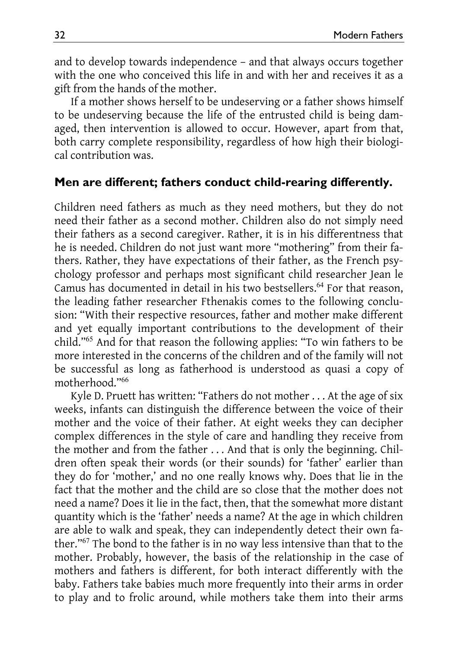and to develop towards independence – and that always occurs together with the one who conceived this life in and with her and receives it as a gift from the hands of the mother.

If a mother shows herself to be undeserving or a father shows himself to be undeserving because the life of the entrusted child is being damaged, then intervention is allowed to occur. However, apart from that, both carry complete responsibility, regardless of how high their biological contribution was.

#### **Men are different; fathers conduct child-rearing differently.**

Children need fathers as much as they need mothers, but they do not need their father as a second mother. Children also do not simply need their fathers as a second caregiver. Rather, it is in his differentness that he is needed. Children do not just want more "mothering" from their fathers. Rather, they have expectations of their father, as the French psychology professor and perhaps most significant child researcher Jean le Camus has documented in detail in his two bestsellers.<sup>64</sup> For that reason, the leading father researcher Fthenakis comes to the following conclusion: "With their respective resources, father and mother make different and yet equally important contributions to the development of their child."<sup>65</sup> And for that reason the following applies: "To win fathers to be more interested in the concerns of the children and of the family will not be successful as long as fatherhood is understood as quasi a copy of motherhood."<sup>66</sup>

Kyle D. Pruett has written: "Fathers do not mother . . . At the age of six weeks, infants can distinguish the difference between the voice of their mother and the voice of their father. At eight weeks they can decipher complex differences in the style of care and handling they receive from the mother and from the father . . . And that is only the beginning. Children often speak their words (or their sounds) for 'father' earlier than they do for 'mother,' and no one really knows why. Does that lie in the fact that the mother and the child are so close that the mother does not need a name? Does it lie in the fact, then, that the somewhat more distant quantity which is the 'father' needs a name? At the age in which children are able to walk and speak, they can independently detect their own father."<sup>67</sup> The bond to the father is in no way less intensive than that to the mother. Probably, however, the basis of the relationship in the case of mothers and fathers is different, for both interact differently with the baby. Fathers take babies much more frequently into their arms in order to play and to frolic around, while mothers take them into their arms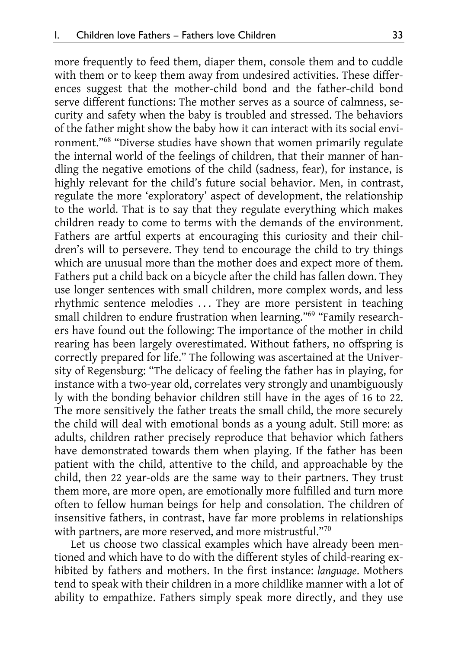more frequently to feed them, diaper them, console them and to cuddle with them or to keep them away from undesired activities. These differences suggest that the mother-child bond and the father-child bond serve different functions: The mother serves as a source of calmness, security and safety when the baby is troubled and stressed. The behaviors of the father might show the baby how it can interact with its social environment."<sup>68</sup> "Diverse studies have shown that women primarily regulate the internal world of the feelings of children, that their manner of handling the negative emotions of the child (sadness, fear), for instance, is highly relevant for the child's future social behavior. Men, in contrast, regulate the more 'exploratory' aspect of development, the relationship to the world. That is to say that they regulate everything which makes children ready to come to terms with the demands of the environment. Fathers are artful experts at encouraging this curiosity and their children's will to persevere. They tend to encourage the child to try things which are unusual more than the mother does and expect more of them. Fathers put a child back on a bicycle after the child has fallen down. They use longer sentences with small children, more complex words, and less rhythmic sentence melodies ... They are more persistent in teaching small children to endure frustration when learning."<sup>69</sup> "Family researchers have found out the following: The importance of the mother in child rearing has been largely overestimated. Without fathers, no offspring is correctly prepared for life." The following was ascertained at the University of Regensburg: "The delicacy of feeling the father has in playing, for instance with a two-year old, correlates very strongly and unambiguously ly with the bonding behavior children still have in the ages of 16 to 22. The more sensitively the father treats the small child, the more securely the child will deal with emotional bonds as a young adult. Still more: as adults, children rather precisely reproduce that behavior which fathers have demonstrated towards them when playing. If the father has been patient with the child, attentive to the child, and approachable by the child, then 22 year-olds are the same way to their partners. They trust them more, are more open, are emotionally more fulfilled and turn more often to fellow human beings for help and consolation. The children of insensitive fathers, in contrast, have far more problems in relationships with partners, are more reserved, and more mistrustful."70

Let us choose two classical examples which have already been mentioned and which have to do with the different styles of child-rearing exhibited by fathers and mothers. In the first instance: *language*. Mothers tend to speak with their children in a more childlike manner with a lot of ability to empathize. Fathers simply speak more directly, and they use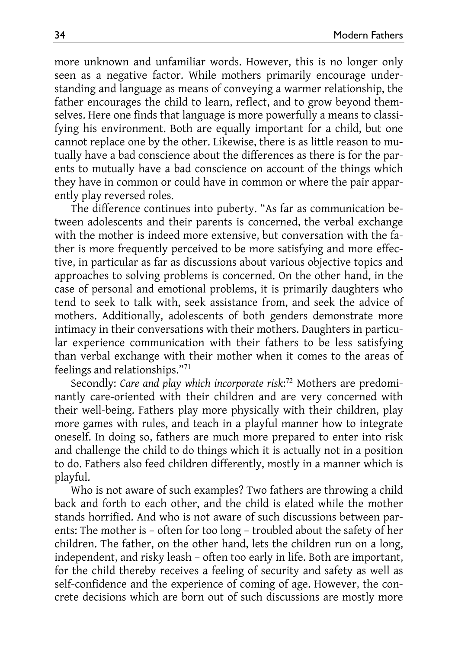more unknown and unfamiliar words. However, this is no longer only seen as a negative factor. While mothers primarily encourage understanding and language as means of conveying a warmer relationship, the father encourages the child to learn, reflect, and to grow beyond themselves. Here one finds that language is more powerfully a means to classifying his environment. Both are equally important for a child, but one cannot replace one by the other. Likewise, there is as little reason to mutually have a bad conscience about the differences as there is for the parents to mutually have a bad conscience on account of the things which they have in common or could have in common or where the pair apparently play reversed roles.

The difference continues into puberty. "As far as communication between adolescents and their parents is concerned, the verbal exchange with the mother is indeed more extensive, but conversation with the father is more frequently perceived to be more satisfying and more effective, in particular as far as discussions about various objective topics and approaches to solving problems is concerned. On the other hand, in the case of personal and emotional problems, it is primarily daughters who tend to seek to talk with, seek assistance from, and seek the advice of mothers. Additionally, adolescents of both genders demonstrate more intimacy in their conversations with their mothers. Daughters in particular experience communication with their fathers to be less satisfying than verbal exchange with their mother when it comes to the areas of feelings and relationships."<sup>71</sup>

Secondly: *Care and play which incorporate risk*: <sup>72</sup> Mothers are predominantly care-oriented with their children and are very concerned with their well-being. Fathers play more physically with their children, play more games with rules, and teach in a playful manner how to integrate oneself. In doing so, fathers are much more prepared to enter into risk and challenge the child to do things which it is actually not in a position to do. Fathers also feed children differently, mostly in a manner which is playful.

Who is not aware of such examples? Two fathers are throwing a child back and forth to each other, and the child is elated while the mother stands horrified. And who is not aware of such discussions between parents: The mother is – often for too long – troubled about the safety of her children. The father, on the other hand, lets the children run on a long, independent, and risky leash – often too early in life. Both are important, for the child thereby receives a feeling of security and safety as well as self-confidence and the experience of coming of age. However, the concrete decisions which are born out of such discussions are mostly more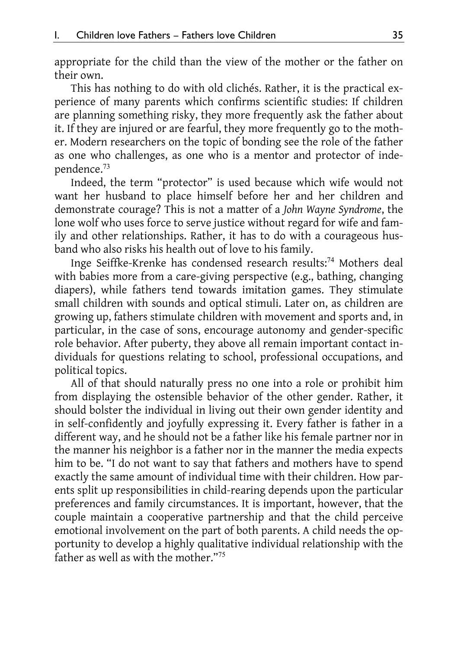appropriate for the child than the view of the mother or the father on their own.

This has nothing to do with old clichés. Rather, it is the practical experience of many parents which confirms scientific studies: If children are planning something risky, they more frequently ask the father about it. If they are injured or are fearful, they more frequently go to the mother. Modern researchers on the topic of bonding see the role of the father as one who challenges, as one who is a mentor and protector of independence.<sup>73</sup>

Indeed, the term "protector" is used because which wife would not want her husband to place himself before her and her children and demonstrate courage? This is not a matter of a *John Wayne Syndrome*, the lone wolf who uses force to serve justice without regard for wife and family and other relationships. Rather, it has to do with a courageous husband who also risks his health out of love to his family.

Inge Seiffke-Krenke has condensed research results:<sup>74</sup> Mothers deal with babies more from a care-giving perspective (e.g., bathing, changing diapers), while fathers tend towards imitation games. They stimulate small children with sounds and optical stimuli. Later on, as children are growing up, fathers stimulate children with movement and sports and, in particular, in the case of sons, encourage autonomy and gender-specific role behavior. After puberty, they above all remain important contact individuals for questions relating to school, professional occupations, and political topics.

All of that should naturally press no one into a role or prohibit him from displaying the ostensible behavior of the other gender. Rather, it should bolster the individual in living out their own gender identity and in self-confidently and joyfully expressing it. Every father is father in a different way, and he should not be a father like his female partner nor in the manner his neighbor is a father nor in the manner the media expects him to be. "I do not want to say that fathers and mothers have to spend exactly the same amount of individual time with their children. How parents split up responsibilities in child-rearing depends upon the particular preferences and family circumstances. It is important, however, that the couple maintain a cooperative partnership and that the child perceive emotional involvement on the part of both parents. A child needs the opportunity to develop a highly qualitative individual relationship with the father as well as with the mother."<sup>75</sup>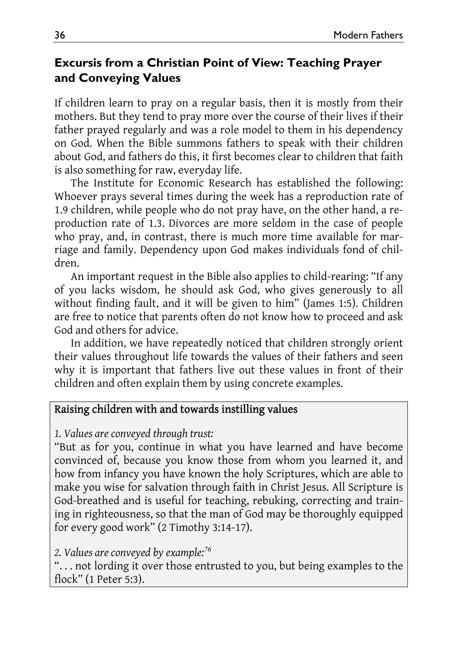### **Excursis from a Christian Point of View: Teaching Prayer and Conveying Values**

If children learn to pray on a regular basis, then it is mostly from their mothers. But they tend to pray more over the course of their lives if their father prayed regularly and was a role model to them in his dependency on God. When the Bible summons fathers to speak with their children about God, and fathers do this, it first becomes clear to children that faith is also something for raw, everyday life.

The Institute for Economic Research has established the following: Whoever prays several times during the week has a reproduction rate of 1.9 children, while people who do not pray have, on the other hand, a reproduction rate of 1.3. Divorces are more seldom in the case of people who pray, and, in contrast, there is much more time available for marriage and family. Dependency upon God makes individuals fond of children.

An important request in the Bible also applies to child-rearing: "If any of you lacks wisdom, he should ask God, who gives generously to all without finding fault, and it will be given to him" (James 1:5). Children are free to notice that parents often do not know how to proceed and ask God and others for advice.

In addition, we have repeatedly noticed that children strongly orient their values throughout life towards the values of their fathers and seen why it is important that fathers live out these values in front of their children and often explain them by using concrete examples.

#### Raising children with and towards instilling values

*1. Values are conveyed through trust:* 

"But as for you, continue in what you have learned and have become convinced of, because you know those from whom you learned it, and how from infancy you have known the holy Scriptures, which are able to make you wise for salvation through faith in Christ Jesus. All Scripture is God-breathed and is useful for teaching, rebuking, correcting and training in righteousness, so that the man of God may be thoroughly equipped for every good work" (2 Timothy 3:14-17).

#### *2. Values are conveyed by example:<sup>76</sup>*

". . . not lording it over those entrusted to you, but being examples to the flock" (1 Peter 5:3).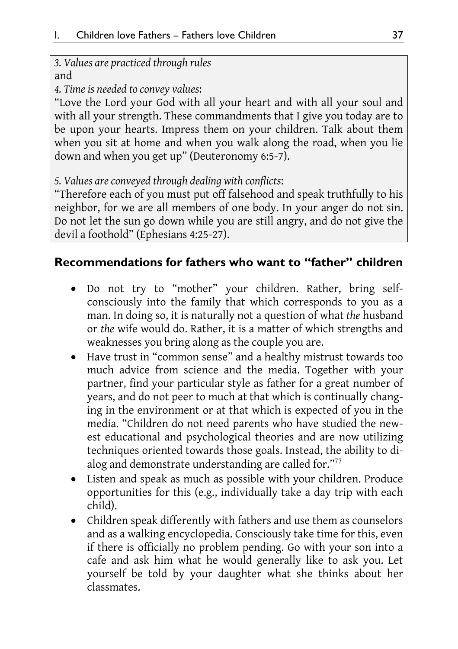*3. Values are practiced through rules*  and

*4. Time is needed to convey values*:

"Love the Lord your God with all your heart and with all your soul and with all your strength. These commandments that I give you today are to be upon your hearts. Impress them on your children. Talk about them when you sit at home and when you walk along the road, when you lie down and when you get up" (Deuteronomy 6:5-7).

*5. Values are conveyed through dealing with conflicts*:

"Therefore each of you must put off falsehood and speak truthfully to his neighbor, for we are all members of one body. In your anger do not sin. Do not let the sun go down while you are still angry, and do not give the devil a foothold" (Ephesians 4:25-27).

### **Recommendations for fathers who want to "father" children**

- Do not try to "mother" your children. Rather, bring selfconsciously into the family that which corresponds to you as a man. In doing so, it is naturally not a question of what *the* husband or *the* wife would do. Rather, it is a matter of which strengths and weaknesses you bring along as the couple you are.
- Have trust in "common sense" and a healthy mistrust towards too much advice from science and the media. Together with your partner, find your particular style as father for a great number of years, and do not peer to much at that which is continually changing in the environment or at that which is expected of you in the media. "Children do not need parents who have studied the newest educational and psychological theories and are now utilizing techniques oriented towards those goals. Instead, the ability to dialog and demonstrate understanding are called for."<sup>77</sup>
- Listen and speak as much as possible with your children. Produce opportunities for this (e.g., individually take a day trip with each child).
- Children speak differently with fathers and use them as counselors and as a walking encyclopedia. Consciously take time for this, even if there is officially no problem pending. Go with your son into a cafe and ask him what he would generally like to ask you. Let yourself be told by your daughter what she thinks about her classmates.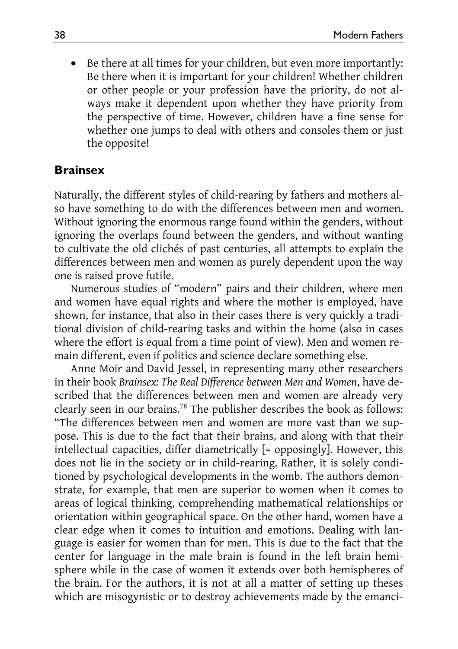Be there at all times for your children, but even more importantly: Be there when it is important for your children! Whether children or other people or your profession have the priority, do not always make it dependent upon whether they have priority from the perspective of time. However, children have a fine sense for whether one jumps to deal with others and consoles them or just the opposite!

#### **Brainsex**

Naturally, the different styles of child-rearing by fathers and mothers also have something to do with the differences between men and women. Without ignoring the enormous range found within the genders, without ignoring the overlaps found between the genders, and without wanting to cultivate the old clichés of past centuries, all attempts to explain the differences between men and women as purely dependent upon the way one is raised prove futile.

Numerous studies of "modern" pairs and their children, where men and women have equal rights and where the mother is employed, have shown, for instance, that also in their cases there is very quickly a traditional division of child-rearing tasks and within the home (also in cases where the effort is equal from a time point of view). Men and women remain different, even if politics and science declare something else.

Anne Moir and David Jessel, in representing many other researchers in their book *Brainsex: The Real Difference between Men and Women*, have described that the differences between men and women are already very clearly seen in our brains.<sup>78</sup> The publisher describes the book as follows: "The differences between men and women are more vast than we suppose. This is due to the fact that their brains, and along with that their intellectual capacities, differ diametrically [= opposingly]. However, this does not lie in the society or in child-rearing. Rather, it is solely conditioned by psychological developments in the womb. The authors demonstrate, for example, that men are superior to women when it comes to areas of logical thinking, comprehending mathematical relationships or orientation within geographical space. On the other hand, women have a clear edge when it comes to intuition and emotions. Dealing with language is easier for women than for men. This is due to the fact that the center for language in the male brain is found in the left brain hemisphere while in the case of women it extends over both hemispheres of the brain. For the authors, it is not at all a matter of setting up theses which are misogynistic or to destroy achievements made by the emanci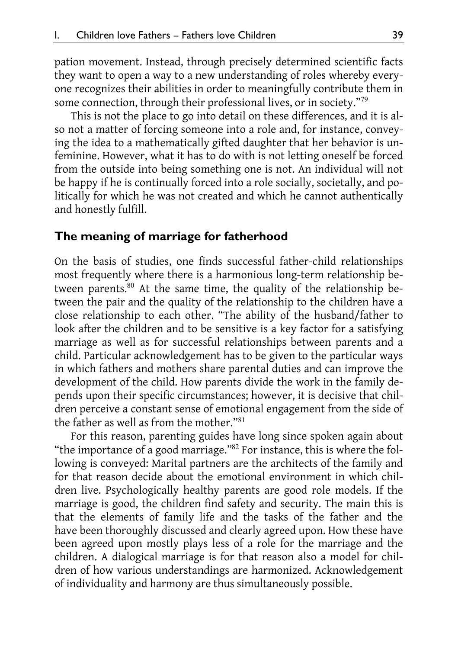pation movement. Instead, through precisely determined scientific facts they want to open a way to a new understanding of roles whereby everyone recognizes their abilities in order to meaningfully contribute them in some connection, through their professional lives, or in society."<sup>79</sup>

This is not the place to go into detail on these differences, and it is also not a matter of forcing someone into a role and, for instance, conveying the idea to a mathematically gifted daughter that her behavior is unfeminine. However, what it has to do with is not letting oneself be forced from the outside into being something one is not. An individual will not be happy if he is continually forced into a role socially, societally, and politically for which he was not created and which he cannot authentically and honestly fulfill.

#### **The meaning of marriage for fatherhood**

On the basis of studies, one finds successful father-child relationships most frequently where there is a harmonious long-term relationship between parents.<sup>80</sup> At the same time, the quality of the relationship between the pair and the quality of the relationship to the children have a close relationship to each other. "The ability of the husband/father to look after the children and to be sensitive is a key factor for a satisfying marriage as well as for successful relationships between parents and a child. Particular acknowledgement has to be given to the particular ways in which fathers and mothers share parental duties and can improve the development of the child. How parents divide the work in the family depends upon their specific circumstances; however, it is decisive that children perceive a constant sense of emotional engagement from the side of the father as well as from the mother."<sup>81</sup>

For this reason, parenting guides have long since spoken again about "the importance of a good marriage."<sup>82</sup> For instance, this is where the following is conveyed: Marital partners are the architects of the family and for that reason decide about the emotional environment in which children live. Psychologically healthy parents are good role models. If the marriage is good, the children find safety and security. The main this is that the elements of family life and the tasks of the father and the have been thoroughly discussed and clearly agreed upon. How these have been agreed upon mostly plays less of a role for the marriage and the children. A dialogical marriage is for that reason also a model for children of how various understandings are harmonized. Acknowledgement of individuality and harmony are thus simultaneously possible.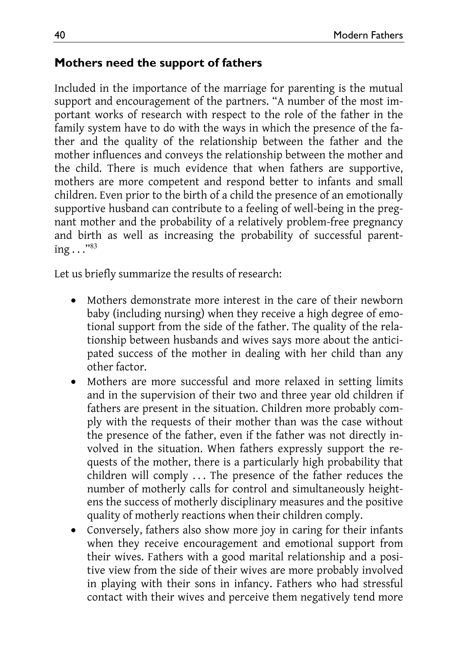### **Mothers need the support of fathers**

Included in the importance of the marriage for parenting is the mutual support and encouragement of the partners. "A number of the most important works of research with respect to the role of the father in the family system have to do with the ways in which the presence of the father and the quality of the relationship between the father and the mother influences and conveys the relationship between the mother and the child. There is much evidence that when fathers are supportive, mothers are more competent and respond better to infants and small children. Even prior to the birth of a child the presence of an emotionally supportive husband can contribute to a feeling of well-being in the pregnant mother and the probability of a relatively problem-free pregnancy and birth as well as increasing the probability of successful parenting . . ."<sup>83</sup>

Let us briefly summarize the results of research:

- Mothers demonstrate more interest in the care of their newborn baby (including nursing) when they receive a high degree of emotional support from the side of the father. The quality of the relationship between husbands and wives says more about the anticipated success of the mother in dealing with her child than any other factor.
- Mothers are more successful and more relaxed in setting limits and in the supervision of their two and three year old children if fathers are present in the situation. Children more probably comply with the requests of their mother than was the case without the presence of the father, even if the father was not directly involved in the situation. When fathers expressly support the requests of the mother, there is a particularly high probability that children will comply . . . The presence of the father reduces the number of motherly calls for control and simultaneously heightens the success of motherly disciplinary measures and the positive quality of motherly reactions when their children comply.
- Conversely, fathers also show more joy in caring for their infants when they receive encouragement and emotional support from their wives. Fathers with a good marital relationship and a positive view from the side of their wives are more probably involved in playing with their sons in infancy. Fathers who had stressful contact with their wives and perceive them negatively tend more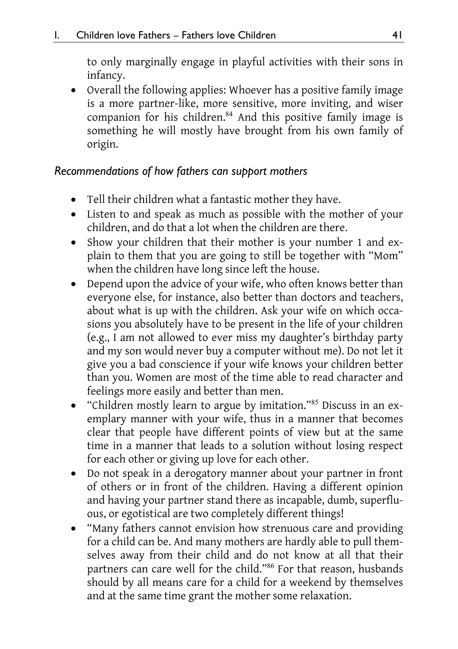to only marginally engage in playful activities with their sons in infancy.

 Overall the following applies: Whoever has a positive family image is a more partner-like, more sensitive, more inviting, and wiser companion for his children.<sup>84</sup> And this positive family image is something he will mostly have brought from his own family of origin.

### *Recommendations of how fathers can support mothers*

- Tell their children what a fantastic mother they have.
- Listen to and speak as much as possible with the mother of your children, and do that a lot when the children are there.
- Show your children that their mother is your number 1 and explain to them that you are going to still be together with "Mom" when the children have long since left the house.
- Depend upon the advice of your wife, who often knows better than everyone else, for instance, also better than doctors and teachers, about what is up with the children. Ask your wife on which occasions you absolutely have to be present in the life of your children (e.g., I am not allowed to ever miss my daughter's birthday party and my son would never buy a computer without me). Do not let it give you a bad conscience if your wife knows your children better than you. Women are most of the time able to read character and feelings more easily and better than men.
- "Children mostly learn to argue by imitation."<sup>85</sup> Discuss in an exemplary manner with your wife, thus in a manner that becomes clear that people have different points of view but at the same time in a manner that leads to a solution without losing respect for each other or giving up love for each other.
- Do not speak in a derogatory manner about your partner in front of others or in front of the children. Having a different opinion and having your partner stand there as incapable, dumb, superfluous, or egotistical are two completely different things!
- "Many fathers cannot envision how strenuous care and providing for a child can be. And many mothers are hardly able to pull themselves away from their child and do not know at all that their partners can care well for the child."<sup>86</sup> For that reason, husbands should by all means care for a child for a weekend by themselves and at the same time grant the mother some relaxation.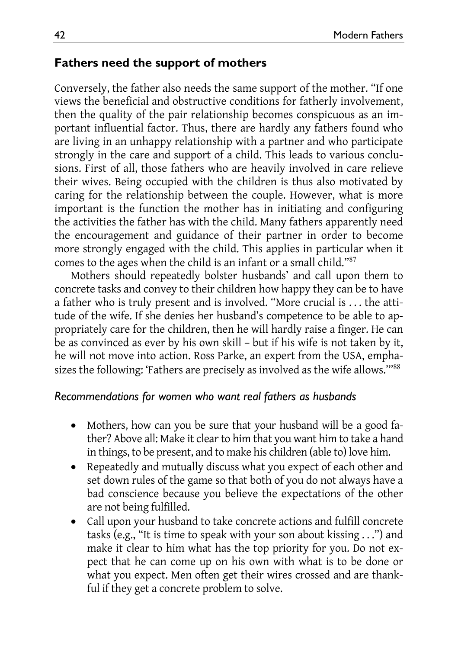### **Fathers need the support of mothers**

Conversely, the father also needs the same support of the mother. "If one views the beneficial and obstructive conditions for fatherly involvement, then the quality of the pair relationship becomes conspicuous as an important influential factor. Thus, there are hardly any fathers found who are living in an unhappy relationship with a partner and who participate strongly in the care and support of a child. This leads to various conclusions. First of all, those fathers who are heavily involved in care relieve their wives. Being occupied with the children is thus also motivated by caring for the relationship between the couple. However, what is more important is the function the mother has in initiating and configuring the activities the father has with the child. Many fathers apparently need the encouragement and guidance of their partner in order to become more strongly engaged with the child. This applies in particular when it comes to the ages when the child is an infant or a small child."<sup>87</sup>

Mothers should repeatedly bolster husbands' and call upon them to concrete tasks and convey to their children how happy they can be to have a father who is truly present and is involved. "More crucial is . . . the attitude of the wife. If she denies her husband's competence to be able to appropriately care for the children, then he will hardly raise a finger. He can be as convinced as ever by his own skill – but if his wife is not taken by it, he will not move into action. Ross Parke, an expert from the USA, emphasizes the following: 'Fathers are precisely as involved as the wife allows.'"<sup>88</sup>

#### *Recommendations for women who want real fathers as husbands*

- Mothers, how can you be sure that your husband will be a good father? Above all: Make it clear to him that you want him to take a hand in things, to be present, and to make his children (able to) love him.
- Repeatedly and mutually discuss what you expect of each other and set down rules of the game so that both of you do not always have a bad conscience because you believe the expectations of the other are not being fulfilled.
- Call upon your husband to take concrete actions and fulfill concrete tasks (e.g., "It is time to speak with your son about kissing . . .") and make it clear to him what has the top priority for you. Do not expect that he can come up on his own with what is to be done or what you expect. Men often get their wires crossed and are thankful if they get a concrete problem to solve.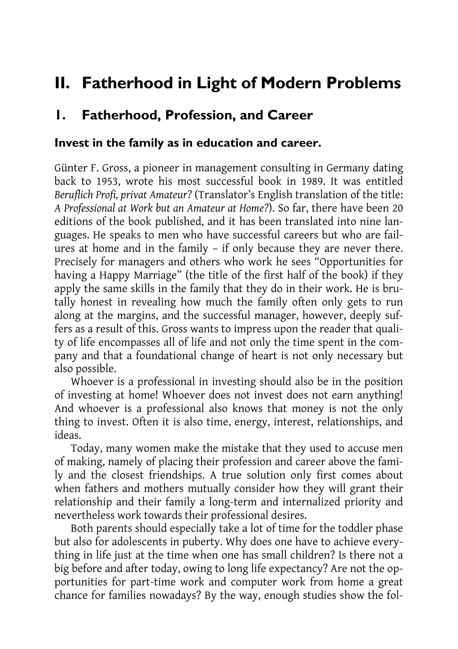# **II. Fatherhood in Light of Modern Problems**

### **1. Fatherhood, Profession, and Career**

#### **Invest in the family as in education and career.**

Günter F. Gross, a pioneer in management consulting in Germany dating back to 1953, wrote his most successful book in 1989. It was entitled *Beruflich Profi, privat Amateur?* (Translator's English translation of the title: *A Professional at Work but an Amateur at Home?*). So far, there have been 20 editions of the book published, and it has been translated into nine languages. He speaks to men who have successful careers but who are failures at home and in the family – if only because they are never there. Precisely for managers and others who work he sees "Opportunities for having a Happy Marriage" (the title of the first half of the book) if they apply the same skills in the family that they do in their work. He is brutally honest in revealing how much the family often only gets to run along at the margins, and the successful manager, however, deeply suffers as a result of this. Gross wants to impress upon the reader that quality of life encompasses all of life and not only the time spent in the company and that a foundational change of heart is not only necessary but also possible.

Whoever is a professional in investing should also be in the position of investing at home! Whoever does not invest does not earn anything! And whoever is a professional also knows that money is not the only thing to invest. Often it is also time, energy, interest, relationships, and ideas.

Today, many women make the mistake that they used to accuse men of making, namely of placing their profession and career above the family and the closest friendships. A true solution only first comes about when fathers and mothers mutually consider how they will grant their relationship and their family a long-term and internalized priority and nevertheless work towards their professional desires.

Both parents should especially take a lot of time for the toddler phase but also for adolescents in puberty. Why does one have to achieve everything in life just at the time when one has small children? Is there not a big before and after today, owing to long life expectancy? Are not the opportunities for part-time work and computer work from home a great chance for families nowadays? By the way, enough studies show the fol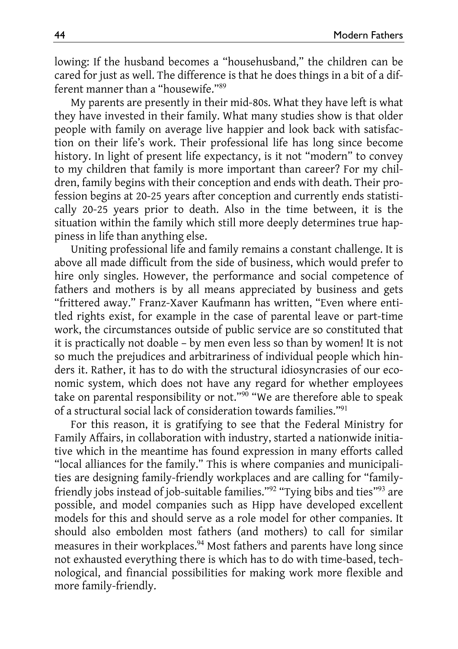lowing: If the husband becomes a "househusband," the children can be cared for just as well. The difference is that he does things in a bit of a different manner than a "housewife."<sup>89</sup>

My parents are presently in their mid-80s. What they have left is what they have invested in their family. What many studies show is that older people with family on average live happier and look back with satisfaction on their life's work. Their professional life has long since become history. In light of present life expectancy, is it not "modern" to convey to my children that family is more important than career? For my children, family begins with their conception and ends with death. Their profession begins at 20-25 years after conception and currently ends statistically 20-25 years prior to death. Also in the time between, it is the situation within the family which still more deeply determines true happiness in life than anything else.

Uniting professional life and family remains a constant challenge. It is above all made difficult from the side of business, which would prefer to hire only singles. However, the performance and social competence of fathers and mothers is by all means appreciated by business and gets "frittered away." Franz-Xaver Kaufmann has written, "Even where entitled rights exist, for example in the case of parental leave or part-time work, the circumstances outside of public service are so constituted that it is practically not doable – by men even less so than by women! It is not so much the prejudices and arbitrariness of individual people which hinders it. Rather, it has to do with the structural idiosyncrasies of our economic system, which does not have any regard for whether employees take on parental responsibility or not."<sup>90</sup> "We are therefore able to speak of a structural social lack of consideration towards families."<sup>91</sup>

For this reason, it is gratifying to see that the Federal Ministry for Family Affairs, in collaboration with industry, started a nationwide initiative which in the meantime has found expression in many efforts called "local alliances for the family." This is where companies and municipalities are designing family-friendly workplaces and are calling for "familyfriendly jobs instead of job-suitable families."<sup>92</sup> "Tying bibs and ties"<sup>93</sup> are possible, and model companies such as Hipp have developed excellent models for this and should serve as a role model for other companies. It should also embolden most fathers (and mothers) to call for similar measures in their workplaces.<sup>94</sup> Most fathers and parents have long since not exhausted everything there is which has to do with time-based, technological, and financial possibilities for making work more flexible and more family-friendly.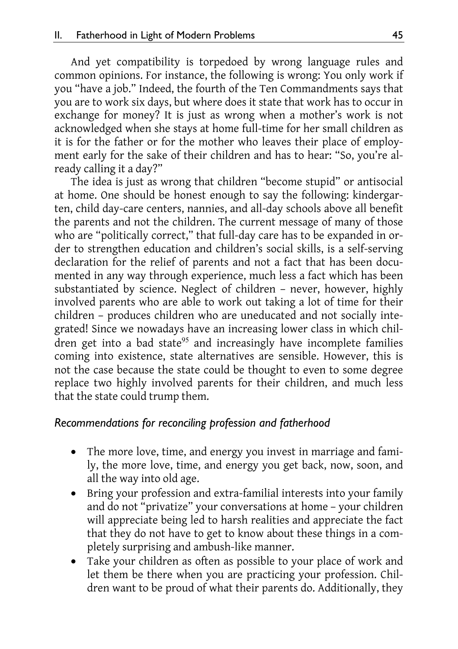And yet compatibility is torpedoed by wrong language rules and common opinions. For instance, the following is wrong: You only work if you "have a job." Indeed, the fourth of the Ten Commandments says that you are to work six days, but where does it state that work has to occur in exchange for money? It is just as wrong when a mother's work is not acknowledged when she stays at home full-time for her small children as it is for the father or for the mother who leaves their place of employment early for the sake of their children and has to hear: "So, you're already calling it a day?"

The idea is just as wrong that children "become stupid" or antisocial at home. One should be honest enough to say the following: kindergarten, child day-care centers, nannies, and all-day schools above all benefit the parents and not the children. The current message of many of those who are "politically correct," that full-day care has to be expanded in order to strengthen education and children's social skills, is a self-serving declaration for the relief of parents and not a fact that has been documented in any way through experience, much less a fact which has been substantiated by science. Neglect of children – never, however, highly involved parents who are able to work out taking a lot of time for their children – produces children who are uneducated and not socially integrated! Since we nowadays have an increasing lower class in which children get into a bad state<sup>95</sup> and increasingly have incomplete families coming into existence, state alternatives are sensible. However, this is not the case because the state could be thought to even to some degree replace two highly involved parents for their children, and much less that the state could trump them.

#### *Recommendations for reconciling profession and fatherhood*

- The more love, time, and energy you invest in marriage and family, the more love, time, and energy you get back, now, soon, and all the way into old age.
- Bring your profession and extra-familial interests into your family and do not "privatize" your conversations at home – your children will appreciate being led to harsh realities and appreciate the fact that they do not have to get to know about these things in a completely surprising and ambush-like manner.
- Take your children as often as possible to your place of work and let them be there when you are practicing your profession. Children want to be proud of what their parents do. Additionally, they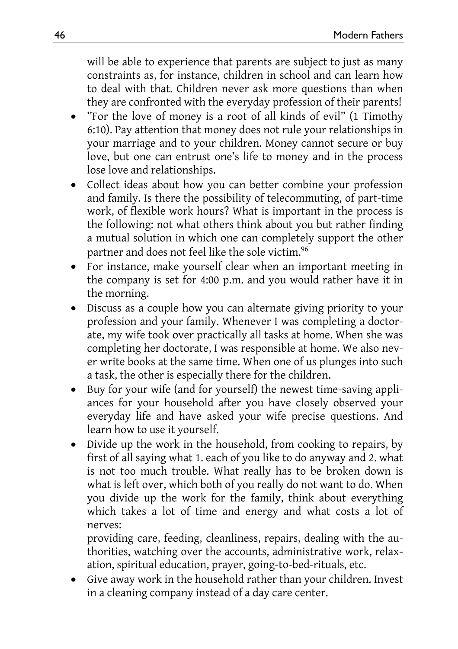will be able to experience that parents are subject to just as many constraints as, for instance, children in school and can learn how to deal with that. Children never ask more questions than when they are confronted with the everyday profession of their parents!

- "For the love of money is a root of all kinds of evil" (1 Timothy 6:10). Pay attention that money does not rule your relationships in your marriage and to your children. Money cannot secure or buy love, but one can entrust one's life to money and in the process lose love and relationships.
- Collect ideas about how you can better combine your profession and family. Is there the possibility of telecommuting, of part-time work, of flexible work hours? What is important in the process is the following: not what others think about you but rather finding a mutual solution in which one can completely support the other partner and does not feel like the sole victim.<sup>96</sup>
- For instance, make yourself clear when an important meeting in the company is set for 4:00 p.m. and you would rather have it in the morning.
- Discuss as a couple how you can alternate giving priority to your profession and your family. Whenever I was completing a doctorate, my wife took over practically all tasks at home. When she was completing her doctorate, I was responsible at home. We also never write books at the same time. When one of us plunges into such a task, the other is especially there for the children.
- Buy for your wife (and for yourself) the newest time-saving appliances for your household after you have closely observed your everyday life and have asked your wife precise questions. And learn how to use it yourself.
- Divide up the work in the household, from cooking to repairs, by first of all saying what 1. each of you like to do anyway and 2. what is not too much trouble. What really has to be broken down is what is left over, which both of you really do not want to do. When you divide up the work for the family, think about everything which takes a lot of time and energy and what costs a lot of nerves:

providing care, feeding, cleanliness, repairs, dealing with the authorities, watching over the accounts, administrative work, relaxation, spiritual education, prayer, going-to-bed-rituals, etc.

 Give away work in the household rather than your children. Invest in a cleaning company instead of a day care center.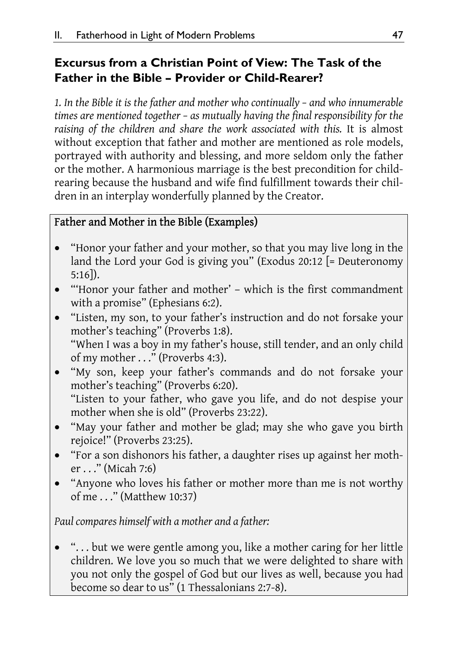### **Excursus from a Christian Point of View: The Task of the Father in the Bible – Provider or Child-Rearer?**

*1. In the Bible it is the father and mother who continually – and who innumerable times are mentioned together – as mutually having the final responsibility for the raising of the children and share the work associated with this.* It is almost without exception that father and mother are mentioned as role models, portrayed with authority and blessing, and more seldom only the father or the mother. A harmonious marriage is the best precondition for childrearing because the husband and wife find fulfillment towards their children in an interplay wonderfully planned by the Creator.

### Father and Mother in the Bible (Examples)

- "Honor your father and your mother, so that you may live long in the land the Lord your God is giving you" (Exodus 20:12 [= Deuteronomy 5:16]).
- "'Honor your father and mother' which is the first commandment with a promise" (Ephesians 6:2).
- "Listen, my son, to your father's instruction and do not forsake your mother's teaching" (Proverbs 1:8). "When I was a boy in my father's house, still tender, and an only child of my mother . . ." (Proverbs 4:3).
- "My son, keep your father's commands and do not forsake your mother's teaching" (Proverbs 6:20). "Listen to your father, who gave you life, and do not despise your mother when she is old" (Proverbs 23:22).
- "May your father and mother be glad; may she who gave you birth rejoice!" (Proverbs 23:25).
- "For a son dishonors his father, a daughter rises up against her mother . . ." (Micah 7:6)
- "Anyone who loves his father or mother more than me is not worthy of me . . ." (Matthew 10:37)

*Paul compares himself with a mother and a father:* 

 ". . . but we were gentle among you, like a mother caring for her little children. We love you so much that we were delighted to share with you not only the gospel of God but our lives as well, because you had become so dear to us" (1 Thessalonians 2:7-8).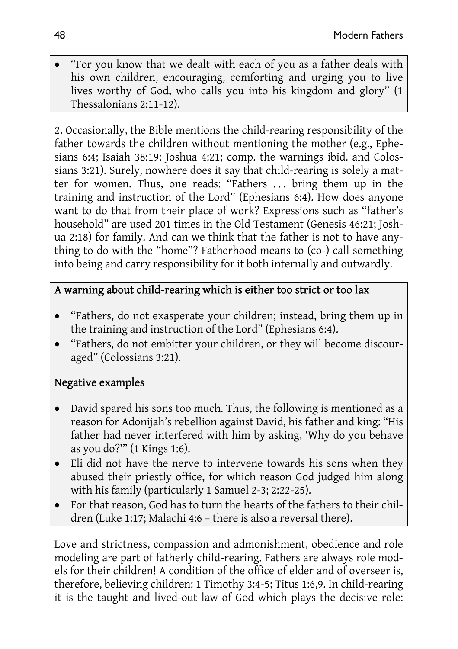"For you know that we dealt with each of you as a father deals with his own children, encouraging, comforting and urging you to live lives worthy of God, who calls you into his kingdom and glory" (1 Thessalonians 2:11-12).

2. Occasionally, the Bible mentions the child-rearing responsibility of the father towards the children without mentioning the mother (e.g., Ephesians 6:4; Isaiah 38:19; Joshua 4:21; comp. the warnings ibid. and Colossians 3:21). Surely, nowhere does it say that child-rearing is solely a matter for women. Thus, one reads: "Fathers . . . bring them up in the training and instruction of the Lord" (Ephesians 6:4). How does anyone want to do that from their place of work? Expressions such as "father's household" are used 201 times in the Old Testament (Genesis 46:21; Joshua 2:18) for family. And can we think that the father is not to have anything to do with the "home"? Fatherhood means to (co-) call something into being and carry responsibility for it both internally and outwardly.

### A warning about child-rearing which is either too strict or too lax

- "Fathers, do not exasperate your children; instead, bring them up in the training and instruction of the Lord" (Ephesians 6:4).
- "Fathers, do not embitter your children, or they will become discouraged" (Colossians 3:21).

## Negative examples

- David spared his sons too much. Thus, the following is mentioned as a reason for Adonijah's rebellion against David, his father and king: "His father had never interfered with him by asking, 'Why do you behave as you do?'" (1 Kings 1:6).
- Eli did not have the nerve to intervene towards his sons when they abused their priestly office, for which reason God judged him along with his family (particularly 1 Samuel 2-3; 2:22-25).
- For that reason, God has to turn the hearts of the fathers to their children (Luke 1:17; Malachi 4:6 – there is also a reversal there).

Love and strictness, compassion and admonishment, obedience and role modeling are part of fatherly child-rearing. Fathers are always role models for their children! A condition of the office of elder and of overseer is, therefore, believing children: 1 Timothy 3:4-5; Titus 1:6,9. In child-rearing it is the taught and lived-out law of God which plays the decisive role: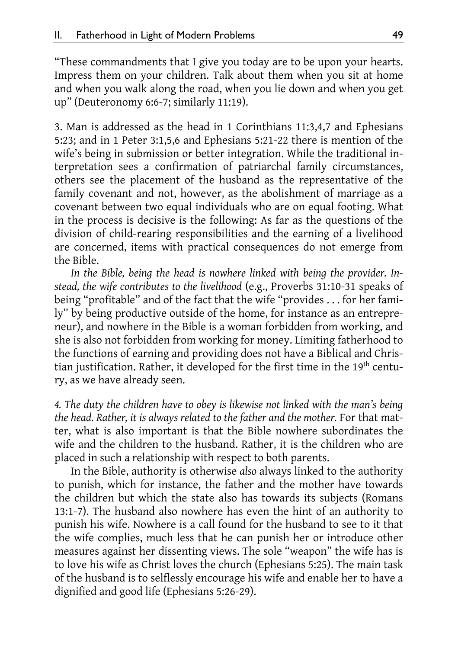"These commandments that I give you today are to be upon your hearts. Impress them on your children. Talk about them when you sit at home and when you walk along the road, when you lie down and when you get up" (Deuteronomy 6:6-7; similarly 11:19).

3. Man is addressed as the head in 1 Corinthians 11:3,4,7 and Ephesians 5:23; and in 1 Peter 3:1,5,6 and Ephesians 5:21-22 there is mention of the wife's being in submission or better integration. While the traditional interpretation sees a confirmation of patriarchal family circumstances, others see the placement of the husband as the representative of the family covenant and not, however, as the abolishment of marriage as a covenant between two equal individuals who are on equal footing. What in the process is decisive is the following: As far as the questions of the division of child-rearing responsibilities and the earning of a livelihood are concerned, items with practical consequences do not emerge from the Bible.

*In the Bible, being the head is nowhere linked with being the provider. Instead, the wife contributes to the livelihood* (e.g., Proverbs 31:10-31 speaks of being "profitable" and of the fact that the wife "provides . . . for her family" by being productive outside of the home, for instance as an entrepreneur), and nowhere in the Bible is a woman forbidden from working, and she is also not forbidden from working for money. Limiting fatherhood to the functions of earning and providing does not have a Biblical and Christian justification. Rather, it developed for the first time in the 19<sup>th</sup> century, as we have already seen.

*4. The duty the children have to obey is likewise not linked with the man's being the head. Rather, it is always related to the father and the mother.* For that matter, what is also important is that the Bible nowhere subordinates the wife and the children to the husband. Rather, it is the children who are placed in such a relationship with respect to both parents.

In the Bible, authority is otherwise *also* always linked to the authority to punish, which for instance, the father and the mother have towards the children but which the state also has towards its subjects (Romans 13:1-7). The husband also nowhere has even the hint of an authority to punish his wife. Nowhere is a call found for the husband to see to it that the wife complies, much less that he can punish her or introduce other measures against her dissenting views. The sole "weapon" the wife has is to love his wife as Christ loves the church (Ephesians 5:25). The main task of the husband is to selflessly encourage his wife and enable her to have a dignified and good life (Ephesians 5:26-29).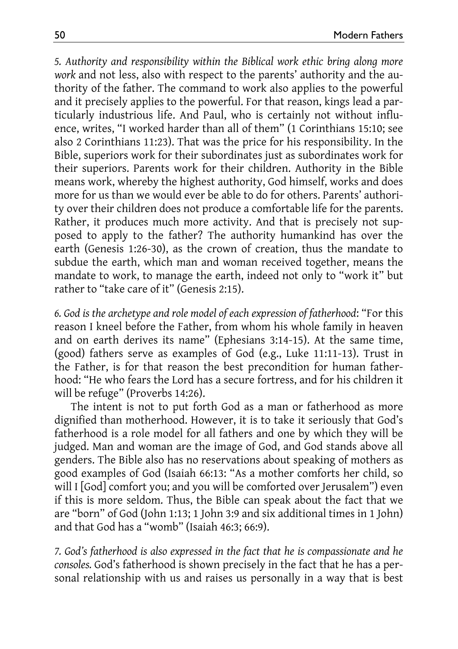*5. Authority and responsibility within the Biblical work ethic bring along more work* and not less, also with respect to the parents' authority and the authority of the father. The command to work also applies to the powerful and it precisely applies to the powerful. For that reason, kings lead a particularly industrious life. And Paul, who is certainly not without influence, writes, "I worked harder than all of them" (1 Corinthians 15:10; see also 2 Corinthians 11:23). That was the price for his responsibility. In the Bible, superiors work for their subordinates just as subordinates work for their superiors. Parents work for their children. Authority in the Bible means work, whereby the highest authority, God himself, works and does more for us than we would ever be able to do for others. Parents' authority over their children does not produce a comfortable life for the parents. Rather, it produces much more activity. And that is precisely not supposed to apply to the father? The authority humankind has over the earth (Genesis 1:26-30), as the crown of creation, thus the mandate to subdue the earth, which man and woman received together, means the mandate to work, to manage the earth, indeed not only to "work it" but rather to "take care of it" (Genesis 2:15).

*6. God is the archetype and role model of each expression of fatherhood*: "For this reason I kneel before the Father, from whom his whole family in heaven and on earth derives its name" (Ephesians 3:14-15). At the same time, (good) fathers serve as examples of God (e.g., Luke 11:11-13). Trust in the Father, is for that reason the best precondition for human fatherhood: "He who fears the Lord has a secure fortress, and for his children it will be refuge" (Proverbs 14:26).

The intent is not to put forth God as a man or fatherhood as more dignified than motherhood. However, it is to take it seriously that God's fatherhood is a role model for all fathers and one by which they will be judged. Man and woman are the image of God, and God stands above all genders. The Bible also has no reservations about speaking of mothers as good examples of God (Isaiah 66:13: "As a mother comforts her child, so will I [God] comfort you; and you will be comforted over Jerusalem") even if this is more seldom. Thus, the Bible can speak about the fact that we are "born" of God (John 1:13; 1 John 3:9 and six additional times in 1 John) and that God has a "womb" (Isaiah 46:3; 66:9).

*7. God's fatherhood is also expressed in the fact that he is compassionate and he consoles.* God's fatherhood is shown precisely in the fact that he has a personal relationship with us and raises us personally in a way that is best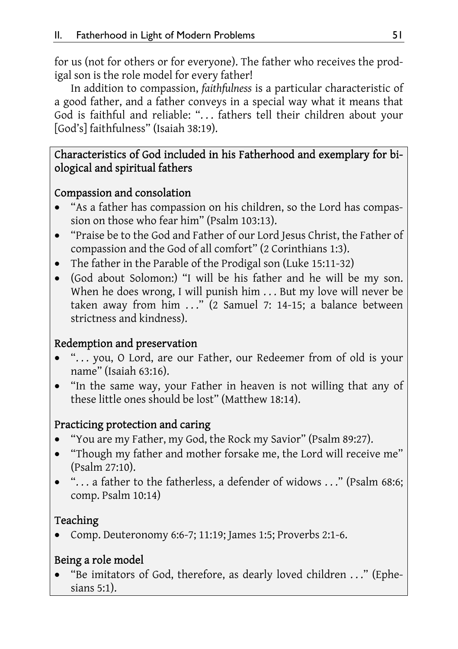for us (not for others or for everyone). The father who receives the prodigal son is the role model for every father!

In addition to compassion, *faithfulness* is a particular characteristic of a good father, and a father conveys in a special way what it means that God is faithful and reliable: ". . . fathers tell their children about your [God's] faithfulness" (Isaiah 38:19).

### Characteristics of God included in his Fatherhood and exemplary for biological and spiritual fathers

### Compassion and consolation

- "As a father has compassion on his children, so the Lord has compassion on those who fear him" (Psalm 103:13).
- "Praise be to the God and Father of our Lord Jesus Christ, the Father of compassion and the God of all comfort" (2 Corinthians 1:3).
- The father in the Parable of the Prodigal son (Luke 15:11-32)
- (God about Solomon:) "I will be his father and he will be my son. When he does wrong, I will punish him . . . But my love will never be taken away from him ..." (2 Samuel 7: 14-15; a balance between strictness and kindness).

### Redemption and preservation

- ". . . you, O Lord, are our Father, our Redeemer from of old is your name" (Isaiah 63:16).
- "In the same way, your Father in heaven is not willing that any of these little ones should be lost" (Matthew 18:14).

### Practicing protection and caring

- "You are my Father, my God, the Rock my Savior" (Psalm 89:27).
- "Though my father and mother forsake me, the Lord will receive me" (Psalm 27:10).
- ". . . a father to the fatherless, a defender of widows . . ." (Psalm 68:6; comp. Psalm 10:14)

### Teaching

Comp. Deuteronomy 6:6-7; 11:19; James 1:5; Proverbs 2:1-6.

### Being a role model

 "Be imitators of God, therefore, as dearly loved children . . ." (Ephesians 5:1).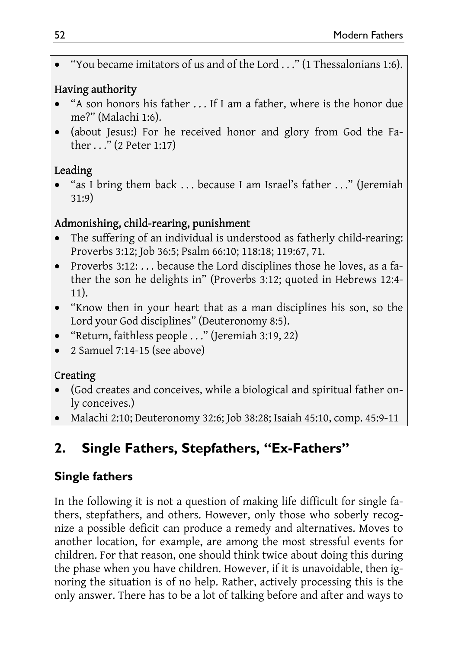"You became imitators of us and of the Lord . . ." (1 Thessalonians 1:6).

### Having authority

- "A son honors his father . . . If I am a father, where is the honor due me?" (Malachi 1:6).
- (about Jesus:) For he received honor and glory from God the Father . . ." (2 Peter 1:17)

# Leading

 "as I bring them back . . . because I am Israel's father . . ." (Jeremiah 31:9)

## Admonishing, child-rearing, punishment

- The suffering of an individual is understood as fatherly child-rearing: Proverbs 3:12; Job 36:5; Psalm 66:10; 118:18; 119:67, 71.
- Proverbs 3:12: ... because the Lord disciplines those he loves, as a father the son he delights in" (Proverbs 3:12; quoted in Hebrews 12:4- 11).
- "Know then in your heart that as a man disciplines his son, so the Lord your God disciplines" (Deuteronomy 8:5).
- "Return, faithless people . . ." (Jeremiah 3:19, 22)
- 2 Samuel 7:14-15 (see above)

# Creating

- (God creates and conceives, while a biological and spiritual father only conceives.)
- Malachi 2:10; Deuteronomy 32:6; Job 38:28; Isaiah 45:10, comp. 45:9-11

# **2. Single Fathers, Stepfathers, "Ex-Fathers"**

# **Single fathers**

In the following it is not a question of making life difficult for single fathers, stepfathers, and others. However, only those who soberly recognize a possible deficit can produce a remedy and alternatives. Moves to another location, for example, are among the most stressful events for children. For that reason, one should think twice about doing this during the phase when you have children. However, if it is unavoidable, then ignoring the situation is of no help. Rather, actively processing this is the only answer. There has to be a lot of talking before and after and ways to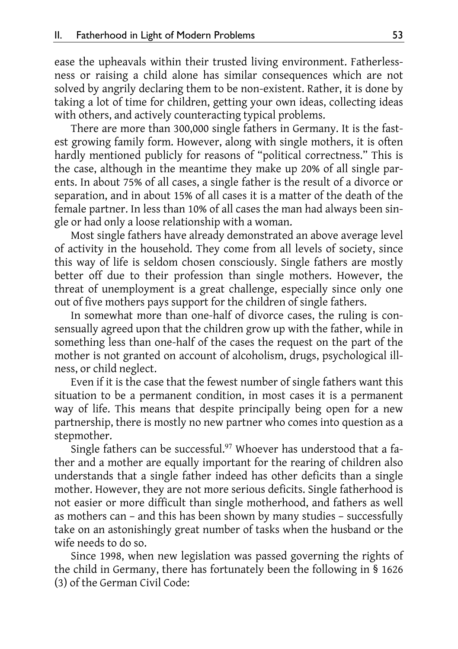ease the upheavals within their trusted living environment. Fatherlessness or raising a child alone has similar consequences which are not solved by angrily declaring them to be non-existent. Rather, it is done by taking a lot of time for children, getting your own ideas, collecting ideas with others, and actively counteracting typical problems.

There are more than 300,000 single fathers in Germany. It is the fastest growing family form. However, along with single mothers, it is often hardly mentioned publicly for reasons of "political correctness." This is the case, although in the meantime they make up 20% of all single parents. In about 75% of all cases, a single father is the result of a divorce or separation, and in about 15% of all cases it is a matter of the death of the female partner. In less than 10% of all cases the man had always been single or had only a loose relationship with a woman.

Most single fathers have already demonstrated an above average level of activity in the household. They come from all levels of society, since this way of life is seldom chosen consciously. Single fathers are mostly better off due to their profession than single mothers. However, the threat of unemployment is a great challenge, especially since only one out of five mothers pays support for the children of single fathers.

In somewhat more than one-half of divorce cases, the ruling is consensually agreed upon that the children grow up with the father, while in something less than one-half of the cases the request on the part of the mother is not granted on account of alcoholism, drugs, psychological illness, or child neglect.

Even if it is the case that the fewest number of single fathers want this situation to be a permanent condition, in most cases it is a permanent way of life. This means that despite principally being open for a new partnership, there is mostly no new partner who comes into question as a stepmother.

Single fathers can be successful.<sup>97</sup> Whoever has understood that a father and a mother are equally important for the rearing of children also understands that a single father indeed has other deficits than a single mother. However, they are not more serious deficits. Single fatherhood is not easier or more difficult than single motherhood, and fathers as well as mothers can – and this has been shown by many studies – successfully take on an astonishingly great number of tasks when the husband or the wife needs to do so.

Since 1998, when new legislation was passed governing the rights of the child in Germany, there has fortunately been the following in § 1626 (3) of the German Civil Code: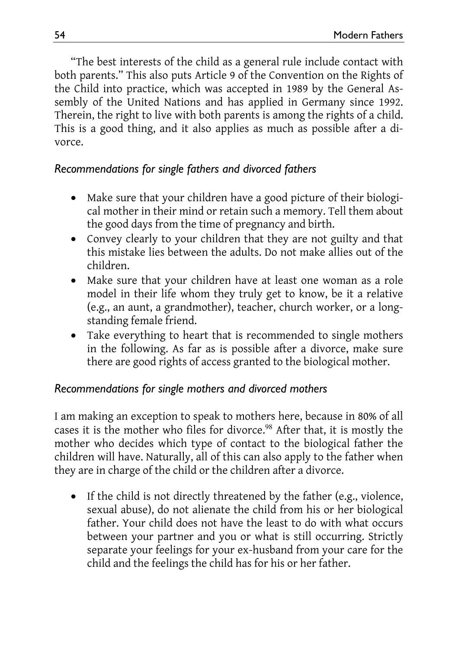"The best interests of the child as a general rule include contact with both parents." This also puts Article 9 of the Convention on the Rights of the Child into practice, which was accepted in 1989 by the General Assembly of the United Nations and has applied in Germany since 1992. Therein, the right to live with both parents is among the rights of a child. This is a good thing, and it also applies as much as possible after a divorce.

### *Recommendations for single fathers and divorced fathers*

- Make sure that your children have a good picture of their biological mother in their mind or retain such a memory. Tell them about the good days from the time of pregnancy and birth.
- Convey clearly to your children that they are not guilty and that this mistake lies between the adults. Do not make allies out of the children.
- Make sure that your children have at least one woman as a role model in their life whom they truly get to know, be it a relative (e.g., an aunt, a grandmother), teacher, church worker, or a longstanding female friend.
- Take everything to heart that is recommended to single mothers in the following. As far as is possible after a divorce, make sure there are good rights of access granted to the biological mother.

### *Recommendations for single mothers and divorced mothers*

I am making an exception to speak to mothers here, because in 80% of all cases it is the mother who files for divorce.<sup>98</sup> After that, it is mostly the mother who decides which type of contact to the biological father the children will have. Naturally, all of this can also apply to the father when they are in charge of the child or the children after a divorce.

• If the child is not directly threatened by the father (e.g., violence, sexual abuse), do not alienate the child from his or her biological father. Your child does not have the least to do with what occurs between your partner and you or what is still occurring. Strictly separate your feelings for your ex-husband from your care for the child and the feelings the child has for his or her father.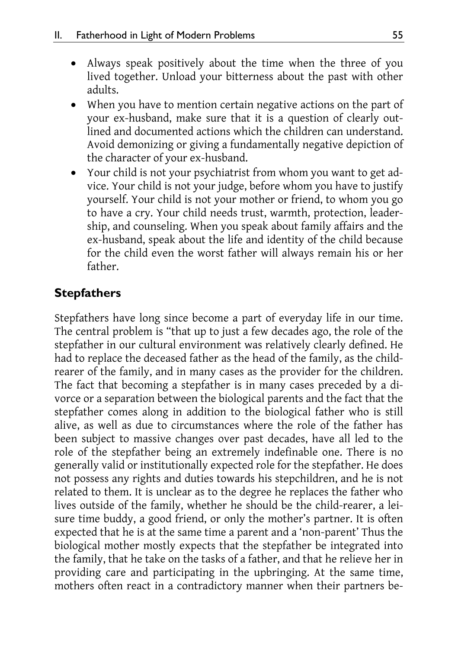- Always speak positively about the time when the three of you lived together. Unload your bitterness about the past with other adults.
- When you have to mention certain negative actions on the part of your ex-husband, make sure that it is a question of clearly outlined and documented actions which the children can understand. Avoid demonizing or giving a fundamentally negative depiction of the character of your ex-husband.
- Your child is not your psychiatrist from whom you want to get advice. Your child is not your judge, before whom you have to justify yourself. Your child is not your mother or friend, to whom you go to have a cry. Your child needs trust, warmth, protection, leadership, and counseling. When you speak about family affairs and the ex-husband, speak about the life and identity of the child because for the child even the worst father will always remain his or her father.

# **Stepfathers**

Stepfathers have long since become a part of everyday life in our time. The central problem is "that up to just a few decades ago, the role of the stepfather in our cultural environment was relatively clearly defined. He had to replace the deceased father as the head of the family, as the childrearer of the family, and in many cases as the provider for the children. The fact that becoming a stepfather is in many cases preceded by a divorce or a separation between the biological parents and the fact that the stepfather comes along in addition to the biological father who is still alive, as well as due to circumstances where the role of the father has been subject to massive changes over past decades, have all led to the role of the stepfather being an extremely indefinable one. There is no generally valid or institutionally expected role for the stepfather. He does not possess any rights and duties towards his stepchildren, and he is not related to them. It is unclear as to the degree he replaces the father who lives outside of the family, whether he should be the child-rearer, a leisure time buddy, a good friend, or only the mother's partner. It is often expected that he is at the same time a parent and a 'non-parent' Thus the biological mother mostly expects that the stepfather be integrated into the family, that he take on the tasks of a father, and that he relieve her in providing care and participating in the upbringing. At the same time, mothers often react in a contradictory manner when their partners be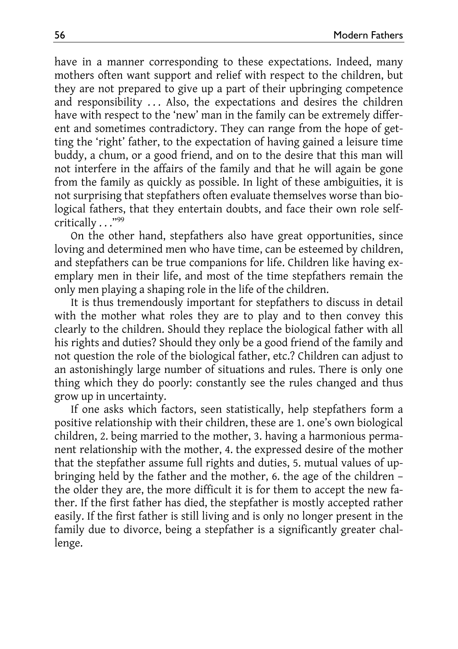have in a manner corresponding to these expectations. Indeed, many mothers often want support and relief with respect to the children, but they are not prepared to give up a part of their upbringing competence and responsibility ... Also, the expectations and desires the children have with respect to the 'new' man in the family can be extremely different and sometimes contradictory. They can range from the hope of getting the 'right' father, to the expectation of having gained a leisure time buddy, a chum, or a good friend, and on to the desire that this man will not interfere in the affairs of the family and that he will again be gone from the family as quickly as possible. In light of these ambiguities, it is not surprising that stepfathers often evaluate themselves worse than biological fathers, that they entertain doubts, and face their own role selfcritically . . . "99

On the other hand, stepfathers also have great opportunities, since loving and determined men who have time, can be esteemed by children, and stepfathers can be true companions for life. Children like having exemplary men in their life, and most of the time stepfathers remain the only men playing a shaping role in the life of the children.

It is thus tremendously important for stepfathers to discuss in detail with the mother what roles they are to play and to then convey this clearly to the children. Should they replace the biological father with all his rights and duties? Should they only be a good friend of the family and not question the role of the biological father, etc.? Children can adjust to an astonishingly large number of situations and rules. There is only one thing which they do poorly: constantly see the rules changed and thus grow up in uncertainty.

If one asks which factors, seen statistically, help stepfathers form a positive relationship with their children, these are 1. one's own biological children, 2. being married to the mother, 3. having a harmonious permanent relationship with the mother, 4. the expressed desire of the mother that the stepfather assume full rights and duties, 5. mutual values of upbringing held by the father and the mother, 6. the age of the children – the older they are, the more difficult it is for them to accept the new father. If the first father has died, the stepfather is mostly accepted rather easily. If the first father is still living and is only no longer present in the family due to divorce, being a stepfather is a significantly greater challenge.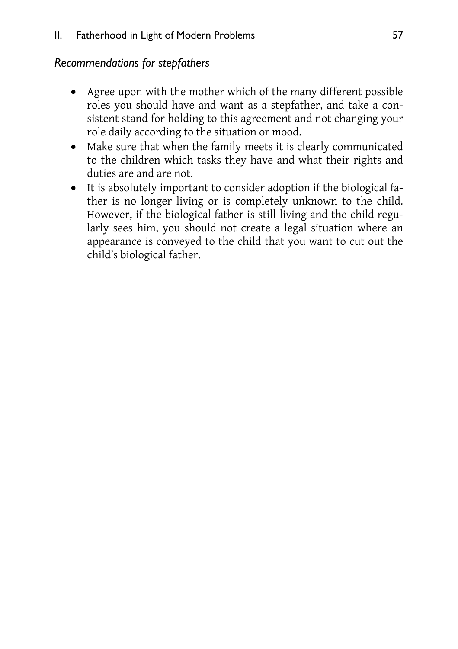### *Recommendations for stepfathers*

- Agree upon with the mother which of the many different possible roles you should have and want as a stepfather, and take a consistent stand for holding to this agreement and not changing your role daily according to the situation or mood.
- Make sure that when the family meets it is clearly communicated to the children which tasks they have and what their rights and duties are and are not.
- It is absolutely important to consider adoption if the biological father is no longer living or is completely unknown to the child. However, if the biological father is still living and the child regularly sees him, you should not create a legal situation where an appearance is conveyed to the child that you want to cut out the child's biological father.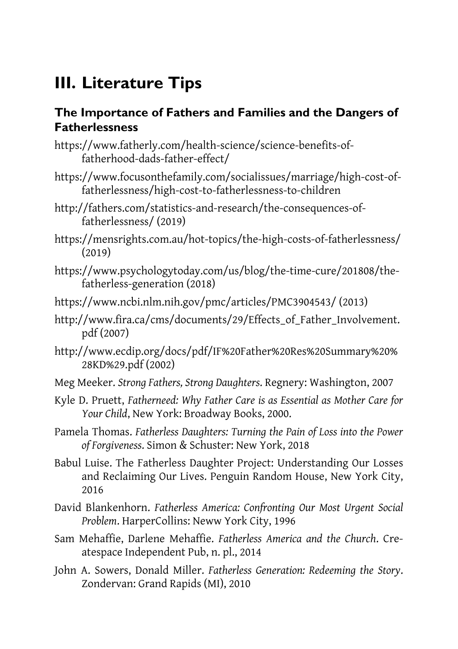# **III. Literature Tips**

### **The Importance of Fathers and Families and the Dangers of Fatherlessness**

- https://www.fatherly.com/health-science/science-benefits-offatherhood-dads-father-effect/
- https://www.focusonthefamily.com/socialissues/marriage/high-cost-offatherlessness/high-cost-to-fatherlessness-to-children
- http://fathers.com/statistics-and-research/the-consequences-offatherlessness/ (2019)
- https://mensrights.com.au/hot-topics/the-high-costs-of-fatherlessness/ (2019)
- https://www.psychologytoday.com/us/blog/the-time-cure/201808/thefatherless-generation (2018)
- https://www.ncbi.nlm.nih.gov/pmc/articles/PMC3904543/ (2013)
- http://www.fira.ca/cms/documents/29/Effects\_of\_Father\_Involvement. pdf (2007)
- http://www.ecdip.org/docs/pdf/IF%20Father%20Res%20Summary%20% 28KD%29.pdf (2002)
- Meg Meeker. *Strong Fathers, Strong Daughters*. Regnery: Washington, 2007
- Kyle D. Pruett, *Fatherneed: Why Father Care is as Essential as Mother Care for Your Child*, New York: Broadway Books, 2000.
- Pamela Thomas. *Fatherless Daughters: Turning the Pain of Loss into the Power of Forgiveness*. Simon & Schuster: New York, 2018
- Babul Luise. The Fatherless Daughter Project: Understanding Our Losses and Reclaiming Our Lives. Penguin Random House, New York City, 2016
- David Blankenhorn. *Fatherless America: Confronting Our Most Urgent Social Problem*. HarperCollins: Neww York City, 1996
- Sam Mehaffie, Darlene Mehaffie. *Fatherless America and the Church*. Createspace Independent Pub, n. pl., 2014
- John A. Sowers, Donald Miller. *Fatherless Generation: Redeeming the Story*. Zondervan: Grand Rapids (MI), 2010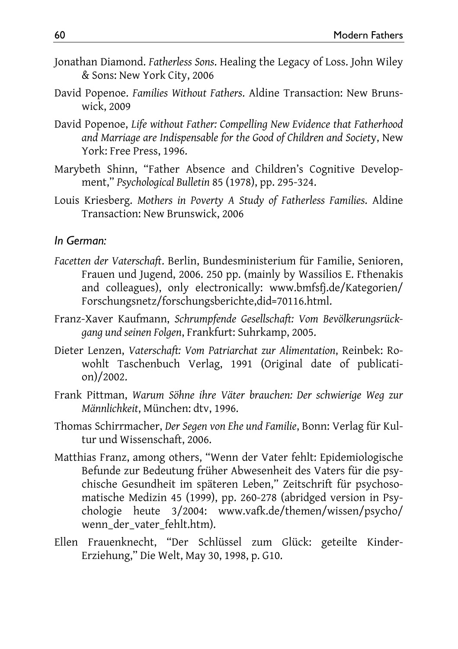- Jonathan Diamond. *Fatherless Sons*. Healing the Legacy of Loss. John Wiley & Sons: New York City, 2006
- David Popenoe. *Families Without Fathers*. Aldine Transaction: New Brunswick, 2009
- David Popenoe, *Life without Father: Compelling New Evidence that Fatherhood and Marriage are Indispensable for the Good of Children and Societ*y, New York: Free Press, 1996.
- Marybeth Shinn, "Father Absence and Children's Cognitive Development," *Psychological Bulletin* 85 (1978), pp. 295-324.
- Louis Kriesberg. *Mothers in Poverty A Study of Fatherless Families*. Aldine Transaction: New Brunswick, 2006

#### *In German:*

- *Facetten der Vaterschaft*. Berlin, Bundesministerium für Familie, Senioren, Frauen und Jugend, 2006. 250 pp. (mainly by Wassilios E. Fthenakis and colleagues), only electronically: www.bmfsfj.de/Kategorien/ Forschungsnetz/forschungsberichte,did=70116.html.
- Franz-Xaver Kaufmann, *Schrumpfende Gesellschaft: Vom Bevölkerungsrückgang und seinen Folgen*, Frankfurt: Suhrkamp, 2005.
- Dieter Lenzen, *Vaterschaft: Vom Patriarchat zur Alimentation*, Reinbek: Rowohlt Taschenbuch Verlag, 1991 (Original date of publication)/2002.
- Frank Pittman, *Warum Söhne ihre Väter brauchen: Der schwierige Weg zur Männlichkeit*, München: dtv, 1996.
- Thomas Schirrmacher, *Der Segen von Ehe und Familie*, Bonn: Verlag für Kultur und Wissenschaft, 2006.
- Matthias Franz, among others, "Wenn der Vater fehlt: Epidemiologische Befunde zur Bedeutung früher Abwesenheit des Vaters für die psychische Gesundheit im späteren Leben," Zeitschrift für psychosomatische Medizin 45 (1999), pp. 260-278 (abridged version in Psychologie heute 3/2004: www.vafk.de/themen/wissen/psycho/ wenn\_der\_vater\_fehlt.htm).
- Ellen Frauenknecht, "Der Schlüssel zum Glück: geteilte Kinder-Erziehung," Die Welt, May 30, 1998, p. G10.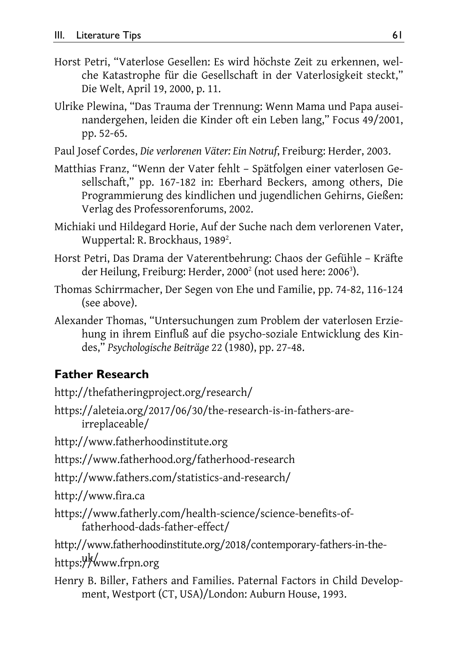- Horst Petri, "Vaterlose Gesellen: Es wird höchste Zeit zu erkennen, welche Katastrophe für die Gesellschaft in der Vaterlosigkeit steckt," Die Welt, April 19, 2000, p. 11.
- Ulrike Plewina, "Das Trauma der Trennung: Wenn Mama und Papa auseinandergehen, leiden die Kinder oft ein Leben lang," Focus 49/2001, pp. 52-65.
- Paul Josef Cordes, *Die verlorenen Väter: Ein Notruf*, Freiburg: Herder, 2003.
- Matthias Franz, "Wenn der Vater fehlt Spätfolgen einer vaterlosen Gesellschaft," pp. 167-182 in: Eberhard Beckers, among others, Die Programmierung des kindlichen und jugendlichen Gehirns, Gießen: Verlag des Professorenforums, 2002.
- Michiaki und Hildegard Horie, Auf der Suche nach dem verlorenen Vater, Wuppertal: R. Brockhaus, 1989<sup>2</sup>.
- Horst Petri, Das Drama der Vaterentbehrung: Chaos der Gefühle Kräfte der Heilung, Freiburg: Herder, 2000<sup>2</sup> (not used here: 2006<sup>3</sup>).
- Thomas Schirrmacher, Der Segen von Ehe und Familie, pp. 74-82, 116-124 (see above).
- Alexander Thomas, "Untersuchungen zum Problem der vaterlosen Erziehung in ihrem Einfluß auf die psycho-soziale Entwicklung des Kindes," *Psychologische Beiträge* 22 (1980), pp. 27-48.

# **Father Research**

http://thefatheringproject.org/research/

https://aleteia.org/2017/06/30/the-research-is-in-fathers-areirreplaceable/

http://www.fatherhoodinstitute.org

https://www.fatherhood.org/fatherhood-research

http://www.fathers.com/statistics-and-research/

http://www.fira.ca

https://www.fatherly.com/health-science/science-benefits-offatherhood-dads-father-effect/

http://www.fatherhoodinstitute.org/2018/contemporary-fathers-in-the-

uk/ https://www.frpn.org

Henry B. Biller, Fathers and Families. Paternal Factors in Child Development, Westport (CT, USA)/London: Auburn House, 1993.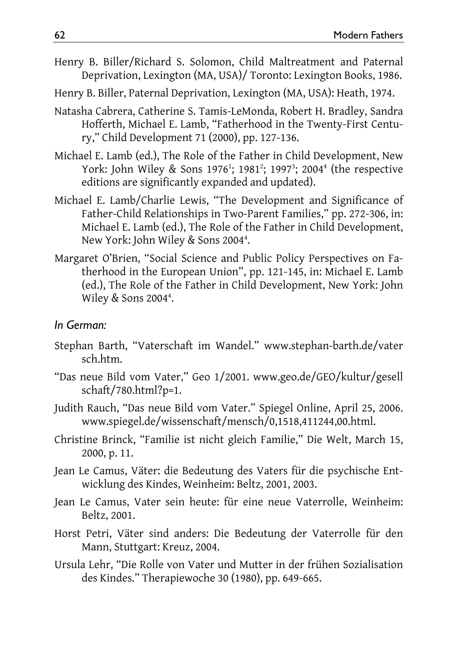- Henry B. Biller/Richard S. Solomon, Child Maltreatment and Paternal Deprivation, Lexington (MA, USA)/ Toronto: Lexington Books, 1986.
- Henry B. Biller, Paternal Deprivation, Lexington (MA, USA): Heath, 1974.
- Natasha Cabrera, Catherine S. Tamis-LeMonda, Robert H. Bradley, Sandra Hofferth, Michael E. Lamb, "Fatherhood in the Twenty-First Century," Child Development 71 (2000), pp. 127-136.
- Michael E. Lamb (ed.), The Role of the Father in Child Development, New York: John Wiley & Sons 1976<sup>1</sup>; 1981<sup>2</sup>; 1997<sup>3</sup>; 2004<sup>4</sup> (the respective editions are significantly expanded and updated).
- Michael E. Lamb/Charlie Lewis, "The Development and Significance of Father-Child Relationships in Two-Parent Families," pp. 272-306, in: Michael E. Lamb (ed.), The Role of the Father in Child Development, New York: John Wiley & Sons 2004<sup>4</sup>.
- Margaret O'Brien, "Social Science and Public Policy Perspectives on Fatherhood in the European Union", pp. 121-145, in: Michael E. Lamb (ed.), The Role of the Father in Child Development, New York: John Wiley & Sons 2004<sup>4</sup>.

#### *In German:*

- Stephan Barth, "Vaterschaft im Wandel." www.stephan-barth.de/vater sch.htm.
- "Das neue Bild vom Vater," Geo 1/2001. www.geo.de/GEO/kultur/gesell schaft/780.html?p=1.
- Judith Rauch, "Das neue Bild vom Vater." Spiegel Online, April 25, 2006. www.spiegel.de/wissenschaft/mensch/0,1518,411244,00.html.
- Christine Brinck, "Familie ist nicht gleich Familie," Die Welt, March 15, 2000, p. 11.
- Jean Le Camus, Väter: die Bedeutung des Vaters für die psychische Entwicklung des Kindes, Weinheim: Beltz, 2001, 2003.
- Jean Le Camus, Vater sein heute: für eine neue Vaterrolle, Weinheim: Beltz, 2001.
- Horst Petri, Väter sind anders: Die Bedeutung der Vaterrolle für den Mann, Stuttgart: Kreuz, 2004.
- Ursula Lehr, "Die Rolle von Vater und Mutter in der frühen Sozialisation des Kindes." Therapiewoche 30 (1980), pp. 649-665.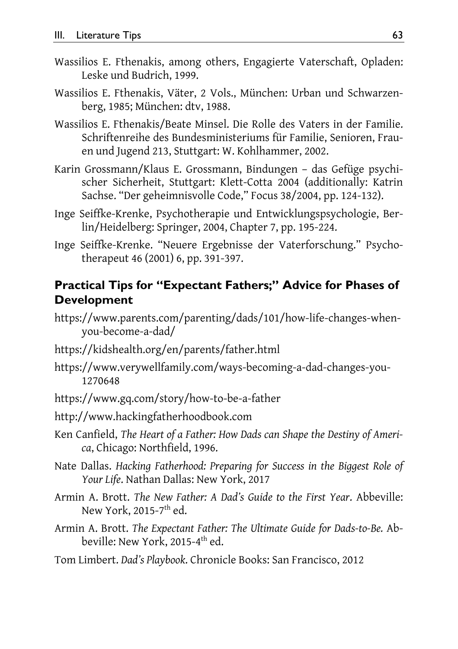- Wassilios E. Fthenakis, among others, Engagierte Vaterschaft, Opladen: Leske und Budrich, 1999.
- Wassilios E. Fthenakis, Väter, 2 Vols., München: Urban und Schwarzenberg, 1985; München: dtv, 1988.
- Wassilios E. Fthenakis/Beate Minsel. Die Rolle des Vaters in der Familie. Schriftenreihe des Bundesministeriums für Familie, Senioren, Frauen und Jugend 213, Stuttgart: W. Kohlhammer, 2002.
- Karin Grossmann/Klaus E. Grossmann, Bindungen das Gefüge psychischer Sicherheit, Stuttgart: Klett-Cotta 2004 (additionally: Katrin Sachse. "Der geheimnisvolle Code," Focus 38/2004, pp. 124-132).
- Inge Seiffke-Krenke, Psychotherapie und Entwicklungspsychologie, Berlin/Heidelberg: Springer, 2004, Chapter 7, pp. 195-224.
- Inge Seiffke-Krenke. "Neuere Ergebnisse der Vaterforschung." Psychotherapeut 46 (2001) 6, pp. 391-397.

### **Practical Tips for "Expectant Fathers;" Advice for Phases of Development**

- https://www.parents.com/parenting/dads/101/how-life-changes-whenyou-become-a-dad/
- https://kidshealth.org/en/parents/father.html
- https://www.verywellfamily.com/ways-becoming-a-dad-changes-you-1270648
- https://www.gq.com/story/how-to-be-a-father

http://www.hackingfatherhoodbook.com

- Ken Canfield, *The Heart of a Father: How Dads can Shape the Destiny of America*, Chicago: Northfield, 1996.
- Nate Dallas. *Hacking Fatherhood: Preparing for Success in the Biggest Role of Your Life*. Nathan Dallas: New York, 2017
- Armin A. Brott. *The New Father: A Dad's Guide to the First Year*. Abbeville: New York, 2015-7<sup>th</sup> ed.
- Armin A. Brott. *The Expectant Father: The Ultimate Guide for Dads-to-Be.* Abbeville: New York, 2015-4<sup>th</sup> ed.
- Tom Limbert. *Dad's Playbook*. Chronicle Books: San Francisco, 2012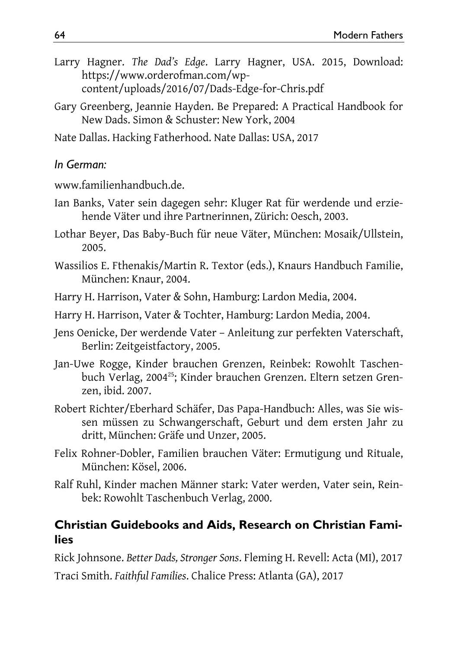- Larry Hagner. *The Dad's Edge*. Larry Hagner, USA. 2015, Download: https://www.orderofman.com/wpcontent/uploads/2016/07/Dads-Edge-for-Chris.pdf
- Gary Greenberg, Jeannie Hayden. Be Prepared: A Practical Handbook for New Dads. Simon & Schuster: New York, 2004

Nate Dallas. Hacking Fatherhood. Nate Dallas: USA, 2017

### *In German:*

www.familienhandbuch.de.

- Ian Banks, Vater sein dagegen sehr: Kluger Rat für werdende und erziehende Väter und ihre Partnerinnen, Zürich: Oesch, 2003.
- Lothar Beyer, Das Baby-Buch für neue Väter, München: Mosaik/Ullstein, 2005.
- Wassilios E. Fthenakis/Martin R. Textor (eds.), Knaurs Handbuch Familie, München: Knaur, 2004.
- Harry H. Harrison, Vater & Sohn, Hamburg: Lardon Media, 2004.
- Harry H. Harrison, Vater & Tochter, Hamburg: Lardon Media, 2004.
- Jens Oenicke, Der werdende Vater Anleitung zur perfekten Vaterschaft, Berlin: Zeitgeistfactory, 2005.
- Jan-Uwe Rogge, Kinder brauchen Grenzen, Reinbek: Rowohlt Taschenbuch Verlag, 2004<sup>25</sup>; Kinder brauchen Grenzen. Eltern setzen Grenzen, ibid. 2007.
- Robert Richter/Eberhard Schäfer, Das Papa-Handbuch: Alles, was Sie wissen müssen zu Schwangerschaft, Geburt und dem ersten Jahr zu dritt, München: Gräfe und Unzer, 2005.
- Felix Rohner-Dobler, Familien brauchen Väter: Ermutigung und Rituale, München: Kösel, 2006.
- Ralf Ruhl, Kinder machen Männer stark: Vater werden, Vater sein, Reinbek: Rowohlt Taschenbuch Verlag, 2000.

## **Christian Guidebooks and Aids, Research on Christian Families**

Rick Johnsone. *Better Dads, Stronger Sons*. Fleming H. Revell: Acta (MI), 2017

Traci Smith. *Faithful Families*. Chalice Press: Atlanta (GA), 2017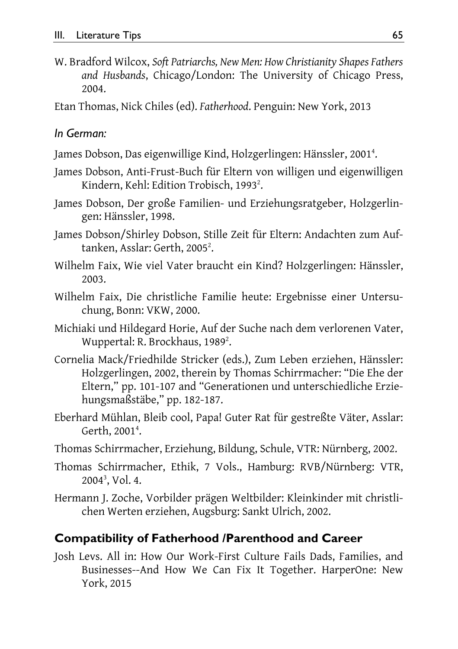W. Bradford Wilcox, *Soft Patriarchs, New Men: How Christianity Shapes Fathers and Husbands*, Chicago/London: The University of Chicago Press, 2004.

Etan Thomas, Nick Chiles (ed). *Fatherhood*. Penguin: New York, 2013

#### *In German:*

- James Dobson, Das eigenwillige Kind, Holzgerlingen: Hänssler, 2001<sup>4</sup>.
- James Dobson, Anti-Frust-Buch für Eltern von willigen und eigenwilligen Kindern, Kehl: Edition Trobisch, 1993<sup>2</sup>.
- James Dobson, Der große Familien- und Erziehungsratgeber, Holzgerlingen: Hänssler, 1998.
- James Dobson/Shirley Dobson, Stille Zeit für Eltern: Andachten zum Auftanken, Asslar: Gerth, 2005<sup>2</sup>.
- Wilhelm Faix, Wie viel Vater braucht ein Kind? Holzgerlingen: Hänssler, 2003.
- Wilhelm Faix, Die christliche Familie heute: Ergebnisse einer Untersuchung, Bonn: VKW, 2000.
- Michiaki und Hildegard Horie, Auf der Suche nach dem verlorenen Vater, Wuppertal: R. Brockhaus, 1989<sup>2</sup>.
- Cornelia Mack/Friedhilde Stricker (eds.), Zum Leben erziehen, Hänssler: Holzgerlingen, 2002, therein by Thomas Schirrmacher: "Die Ehe der Eltern," pp. 101-107 and "Generationen und unterschiedliche Erziehungsmaßstäbe," pp. 182-187.
- Eberhard Mühlan, Bleib cool, Papa! Guter Rat für gestreßte Väter, Asslar: Gerth, 2001<sup>4</sup>.
- Thomas Schirrmacher, Erziehung, Bildung, Schule, VTR: Nürnberg, 2002.
- Thomas Schirrmacher, Ethik, 7 Vols., Hamburg: RVB/Nürnberg: VTR, 20043 , Vol. 4.
- Hermann J. Zoche, Vorbilder prägen Weltbilder: Kleinkinder mit christlichen Werten erziehen, Augsburg: Sankt Ulrich, 2002.

### **Compatibility of Fatherhood /Parenthood and Career**

Josh Levs. All in: How Our Work-First Culture Fails Dads, Families, and Businesses--And How We Can Fix It Together. HarperOne: New York, 2015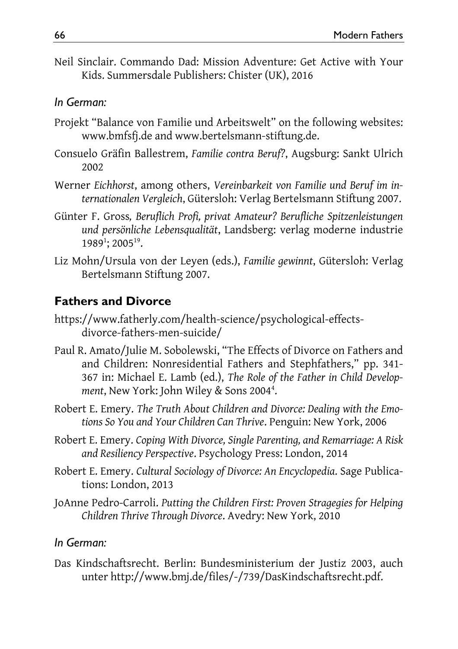Neil Sinclair. Commando Dad: Mission Adventure: Get Active with Your Kids. Summersdale Publishers: Chister (UK), 2016

### *In German:*

- Projekt "Balance von Familie und Arbeitswelt" on the following websites: www.bmfsfj.de and www.bertelsmann-stiftung.de.
- Consuelo Gräfin Ballestrem, *Familie contra Beruf?*, Augsburg: Sankt Ulrich 2002
- Werner *Eichhorst*, among others, *Vereinbarkeit von Familie und Beruf im internationalen Vergleich*, Gütersloh: Verlag Bertelsmann Stiftung 2007.
- Günter F. Gross*, Beruflich Profi, privat Amateur? Berufliche Spitzenleistungen und persönliche Lebensqualität*, Landsberg: verlag moderne industrie 1989<sup>1</sup>; 2005<sup>19</sup>.
- Liz Mohn/Ursula von der Leyen (eds.), *Familie gewinnt*, Gütersloh: Verlag Bertelsmann Stiftung 2007.

# **Fathers and Divorce**

- https://www.fatherly.com/health-science/psychological-effectsdivorce-fathers-men-suicide/
- Paul R. Amato/Julie M. Sobolewski, "The Effects of Divorce on Fathers and and Children: Nonresidential Fathers and Stephfathers," pp. 341- 367 in: Michael E. Lamb (ed.), *The Role of the Father in Child Develop*ment, New York: John Wiley & Sons 2004<sup>4</sup>.
- Robert E. Emery. *The Truth About Children and Divorce: Dealing with the Emotions So You and Your Children Can Thrive*. Penguin: New York, 2006
- Robert E. Emery. *Coping With Divorce, Single Parenting, and Remarriage: A Risk and Resiliency Perspective*. Psychology Press: London, 2014
- Robert E. Emery. *Cultural Sociology of Divorce: An Encyclopedia*. Sage Publications: London, 2013
- JoAnne Pedro-Carroli. *Putting the Children First: Proven Stragegies for Helping Children Thrive Through Divorce*. Avedry: New York, 2010

### *In German:*

Das Kindschaftsrecht. Berlin: Bundesministerium der Justiz 2003, auch unter http://www.bmj.de/files/-/739/DasKindschaftsrecht.pdf.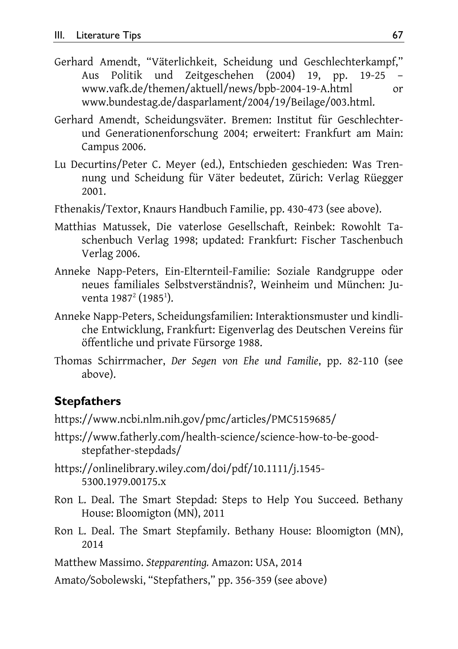- Gerhard Amendt, "Väterlichkeit, Scheidung und Geschlechterkampf," Aus Politik und Zeitgeschehen (2004) 19, pp. 19-25 – www.vafk.de/themen/aktuell/news/bpb-2004-19-A.html or www.bundestag.de/dasparlament/2004/19/Beilage/003.html.
- Gerhard Amendt, Scheidungsväter. Bremen: Institut für Geschlechterund Generationenforschung 2004; erweitert: Frankfurt am Main: Campus 2006.
- Lu Decurtins/Peter C. Meyer (ed.), Entschieden geschieden: Was Trennung und Scheidung für Väter bedeutet, Zürich: Verlag Rüegger 2001.
- Fthenakis/Textor, Knaurs Handbuch Familie, pp. 430-473 (see above).
- Matthias Matussek, Die vaterlose Gesellschaft, Reinbek: Rowohlt Taschenbuch Verlag 1998; updated: Frankfurt: Fischer Taschenbuch Verlag 2006.
- Anneke Napp-Peters, Ein-Elternteil-Familie: Soziale Randgruppe oder neues familiales Selbstverständnis?, Weinheim und München: Juventa 1987<sup>2</sup> (1985<sup>1</sup>).
- Anneke Napp-Peters, Scheidungsfamilien: Interaktionsmuster und kindliche Entwicklung, Frankfurt: Eigenverlag des Deutschen Vereins für öffentliche und private Fürsorge 1988.
- Thomas Schirrmacher, *Der Segen von Ehe und Familie*, pp. 82-110 (see above).

#### **Stepfathers**

https://www.ncbi.nlm.nih.gov/pmc/articles/PMC5159685/

- https://www.fatherly.com/health-science/science-how-to-be-goodstepfather-stepdads/
- https://onlinelibrary.wiley.com/doi/pdf/10.1111/j.1545- 5300.1979.00175.x
- Ron L. Deal. The Smart Stepdad: Steps to Help You Succeed. Bethany House: Bloomigton (MN), 2011
- Ron L. Deal. The Smart Stepfamily. Bethany House: Bloomigton (MN), 2014

Matthew Massimo. *Stepparenting.* Amazon: USA, 2014

Amato*/*Sobolewski, "Stepfathers," pp. 356-359 (see above)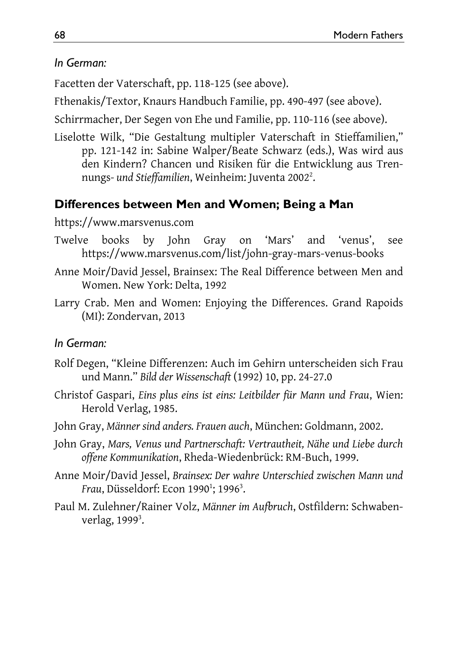### *In German:*

Facetten der Vaterschaft, pp. 118-125 (see above).

Fthenakis/Textor, Knaurs Handbuch Familie, pp. 490-497 (see above).

Schirrmacher, Der Segen von Ehe und Familie, pp. 110-116 (see above).

Liselotte Wilk, "Die Gestaltung multipler Vaterschaft in Stieffamilien," pp. 121-142 in: Sabine Walper/Beate Schwarz (eds.), Was wird aus den Kindern? Chancen und Risiken für die Entwicklung aus Trennungs- und Stieffamilien, Weinheim: Juventa 2002<sup>2</sup>.

### **Differences between Men and Women; Being a Man**

#### https://www.marsvenus.com

- Twelve books by John Gray on 'Mars' and 'venus', see https://www.marsvenus.com/list/john-gray-mars-venus-books
- Anne Moir/David Jessel, Brainsex: The Real Difference between Men and Women. New York: Delta, 1992
- Larry Crab. Men and Women: Enjoying the Differences. Grand Rapoids (MI): Zondervan, 2013

### *In German:*

- Rolf Degen, "Kleine Differenzen: Auch im Gehirn unterscheiden sich Frau und Mann." *Bild der Wissenschaft* (1992) 10, pp. 24-27.0
- Christof Gaspari, *Eins plus eins ist eins: Leitbilder für Mann und Frau*, Wien: Herold Verlag, 1985.
- John Gray, *Männer sind anders. Frauen auch*, München: Goldmann, 2002.
- John Gray, *Mars, Venus und Partnerschaft: Vertrautheit, Nähe und Liebe durch offene Kommunikation*, Rheda-Wiedenbrück: RM-Buch, 1999.
- Anne Moir/David Jessel, *Brainsex: Der wahre Unterschied zwischen Mann und*  Frau, Düsseldorf: Econ 1990<sup>1</sup>; 1996<sup>3</sup>.
- Paul M. Zulehner/Rainer Volz, *Männer im Aufbruch*, Ostfildern: Schwabenverlag, 1999<sup>3</sup>.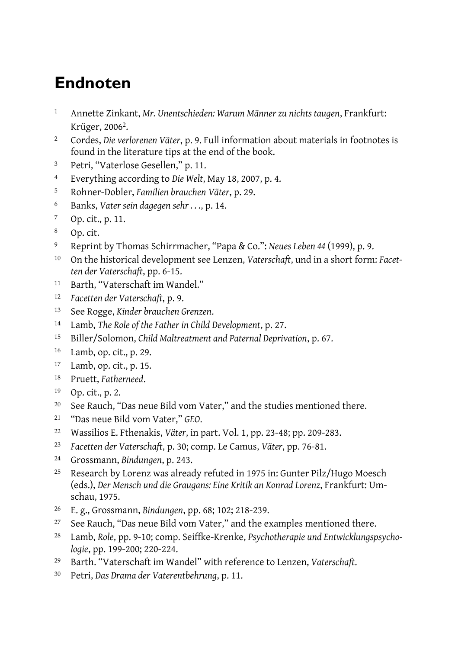# **Endnoten**

- Annette Zinkant, *Mr. Unentschieden: Warum Männer zu nichts taugen*, Frankfurt: Krüger, 20062.
- Cordes, *Die verlorenen Väter*, p. 9. Full information about materials in footnotes is found in the literature tips at the end of the book.
- Petri, "Vaterlose Gesellen," p. 11.
- Everything according to *Die Welt*, May 18, 2007, p. 4.
- Rohner-Dobler, *Familien brauchen Väter*, p. 29.
- Banks, *Vater sein dagegen sehr . . .*, p. 14.
- Op. cit., p. 11.
- Op. cit.
- Reprint by Thomas Schirrmacher, "Papa & Co.": *Neues Leben 44* (1999), p. 9.
- On the historical development see Lenzen, *Vaterschaft*, und in a short form: *Facetten der Vaterschaft*, pp. 6-15.
- Barth, "Vaterschaft im Wandel."
- *Facetten der Vaterschaft*, p. 9.
- See Rogge, *Kinder brauchen Grenzen*.
- Lamb, *The Role of the Father in Child Development*, p. 27.
- Biller/Solomon, *Child Maltreatment and Paternal Deprivation*, p. 67.
- Lamb, op. cit., p. 29.
- Lamb, op. cit., p. 15.
- Pruett, *Fatherneed*.
- Op. cit., p. 2.
- <sup>20</sup> See Rauch, "Das neue Bild vom Vater," and the studies mentioned there.
- "Das neue Bild vom Vater," *GEO*.
- Wassilios E. Fthenakis, *Väter*, in part. Vol. 1, pp. 23-48; pp. 209-283.
- *Facetten der Vaterschaft*, p. 30; comp. Le Camus, *Väter*, pp. 76-81.
- Grossmann, *Bindungen*, p. 243.
- Research by Lorenz was already refuted in 1975 in: Gunter Pilz/Hugo Moesch (eds.), *Der Mensch und die Graugans: Eine Kritik an Konrad Lorenz*, Frankfurt: Umschau, 1975.
- E. g., Grossmann, *Bindungen*, pp. 68; 102; 218-239.
- See Rauch, "Das neue Bild vom Vater," and the examples mentioned there.
- Lamb, *Role*, pp. 9-10; comp. Seiffke-Krenke, *Psychotherapie und Entwicklungspsychologie*, pp. 199-200; 220-224.
- Barth. "Vaterschaft im Wandel" with reference to Lenzen, *Vaterschaft*.
- Petri, *Das Drama der Vaterentbehrung*, p. 11.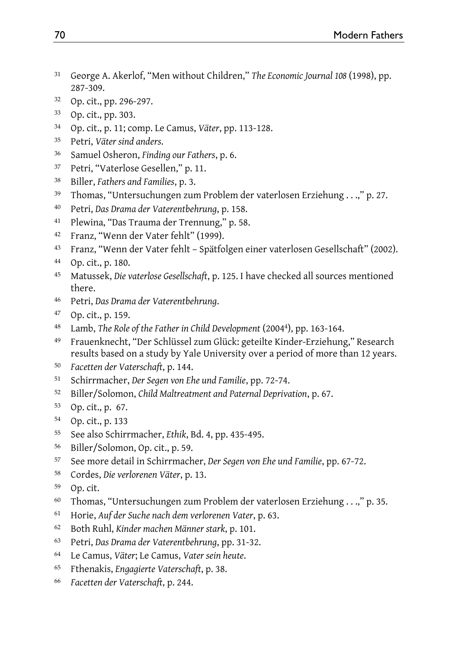- George A. Akerlof, "Men without Children," *The Economic Journal 108* (1998), pp. 287-309.
- Op. cit., pp. 296-297.
- Op. cit., pp. 303.
- Op. cit., p. 11; comp. Le Camus, *Väter*, pp. 113-128.
- Petri, *Väter sind anders*.
- Samuel Osheron, *Finding our Fathers*, p. 6.
- Petri, "Vaterlose Gesellen," p. 11.
- Biller, *Fathers and Families*, p. 3.
- Thomas, "Untersuchungen zum Problem der vaterlosen Erziehung . . .," p. 27.
- Petri, *Das Drama der Vaterentbehrung*, p. 158.
- Plewina, "Das Trauma der Trennung," p. 58.
- Franz, "Wenn der Vater fehlt" (1999).
- Franz, "Wenn der Vater fehlt Spätfolgen einer vaterlosen Gesellschaft" (2002).
- Op. cit., p. 180.
- Matussek, *Die vaterlose Gesellschaft*, p. 125. I have checked all sources mentioned there.
- Petri, *Das Drama der Vaterentbehrung*.
- Op. cit., p. 159.
- Lamb, *The Role of the Father in Child Development* (20044), pp. 163-164.
- Frauenknecht, "Der Schlüssel zum Glück: geteilte Kinder-Erziehung," Research results based on a study by Yale University over a period of more than 12 years.
- *Facetten der Vaterschaft*, p. 144.
- Schirrmacher, *Der Segen von Ehe und Familie*, pp. 72-74.
- Biller/Solomon, *Child Maltreatment and Paternal Deprivation*, p. 67.
- Op. cit., p. 67.
- Op. cit., p. 133
- See also Schirrmacher, *Ethik*, Bd. 4, pp. 435-495.
- Biller/Solomon, Op. cit., p. 59.
- See more detail in Schirrmacher, *Der Segen von Ehe und Familie*, pp. 67-72.
- Cordes, *Die verlorenen Väter*, p. 13.
- Op. cit.
- Thomas, "Untersuchungen zum Problem der vaterlosen Erziehung . . .," p. 35.
- Horie, *Auf der Suche nach dem verlorenen Vater*, p. 63.
- Both Ruhl, *Kinder machen Männer stark*, p. 101.
- Petri, *Das Drama der Vaterentbehrung*, pp. 31-32.
- Le Camus, *Väter*; Le Camus, *Vater sein heute*.
- Fthenakis, *Engagierte Vaterschaft*, p. 38.
- *Facetten der Vaterschaft*, p. 244.